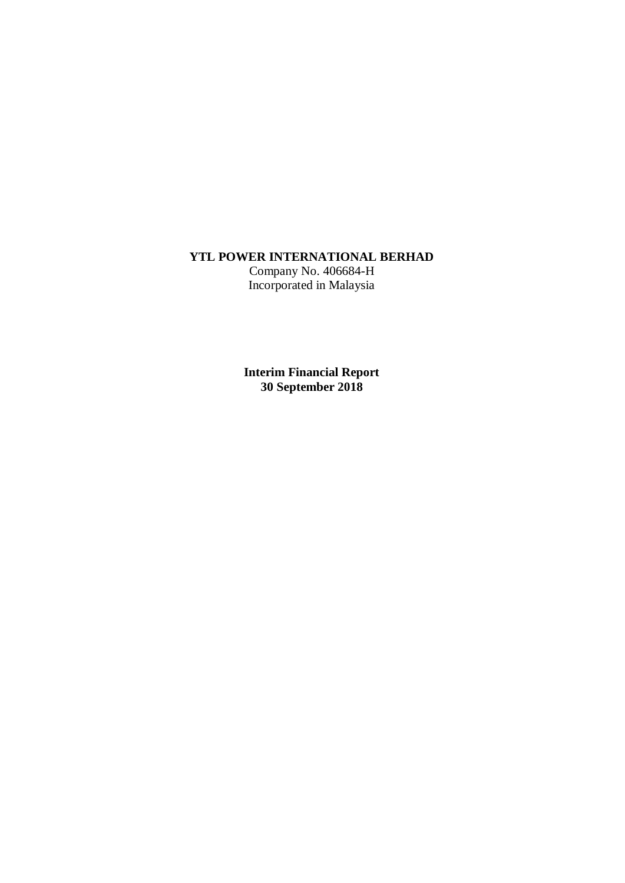## **YTL POWER INTERNATIONAL BERHAD**

Company No. 406684-H Incorporated in Malaysia

**Interim Financial Report 30 September 2018**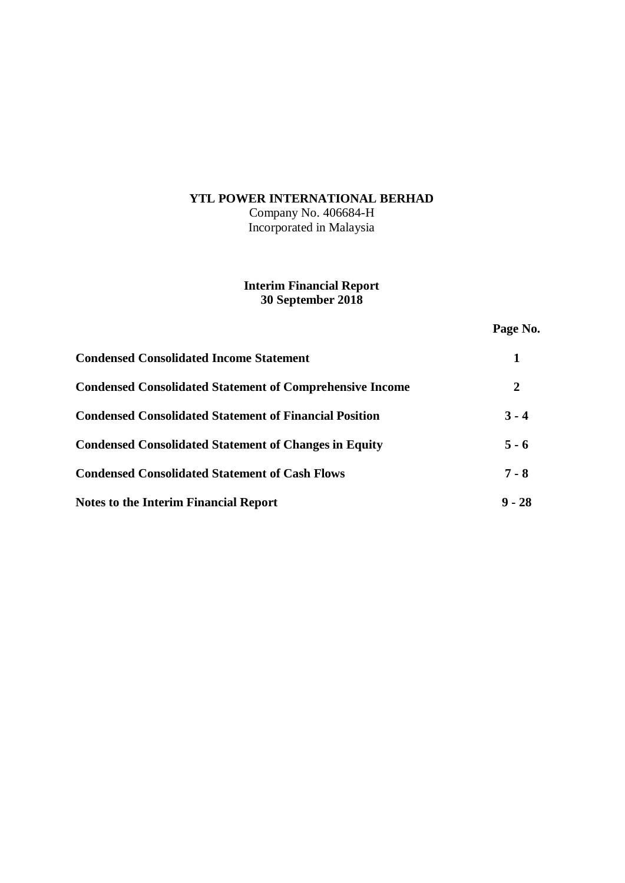## **YTL POWER INTERNATIONAL BERHAD**

Company No. 406684-H Incorporated in Malaysia

## **Interim Financial Report 30 September 2018**

**Page No.**

| <b>Condensed Consolidated Income Statement</b>                  |          |
|-----------------------------------------------------------------|----------|
| <b>Condensed Consolidated Statement of Comprehensive Income</b> | 2        |
| <b>Condensed Consolidated Statement of Financial Position</b>   | $3 - 4$  |
| <b>Condensed Consolidated Statement of Changes in Equity</b>    | $5 - 6$  |
| <b>Condensed Consolidated Statement of Cash Flows</b>           | $7 - 8$  |
| <b>Notes to the Interim Financial Report</b>                    | $9 - 28$ |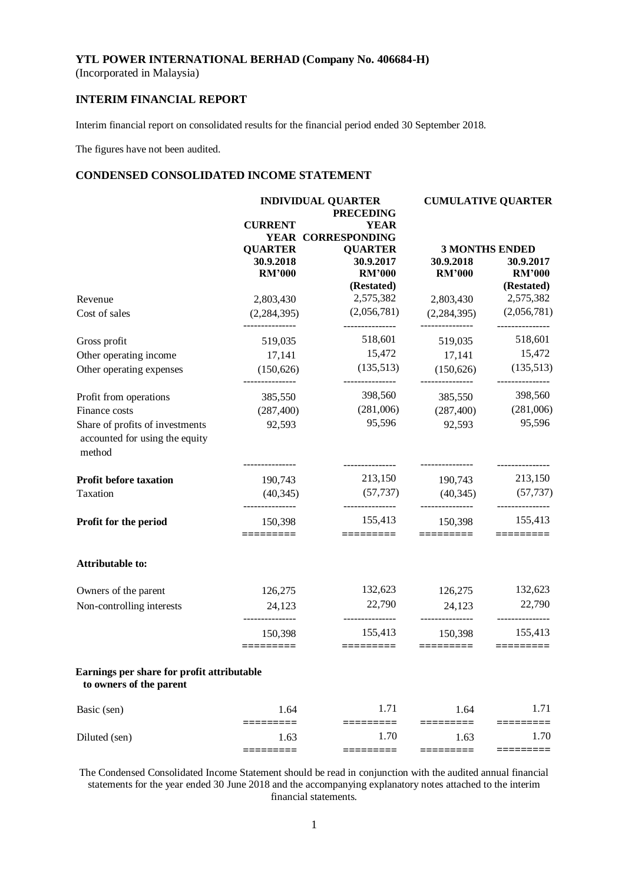(Incorporated in Malaysia)

## **INTERIM FINANCIAL REPORT**

Interim financial report on consolidated results for the financial period ended 30 September 2018.

The figures have not been audited.

#### **CONDENSED CONSOLIDATED INCOME STATEMENT**

|                                                                             |                              | <b>INDIVIDUAL QUARTER</b><br><b>PRECEDING</b> |                                | <b>CUMULATIVE QUARTER</b>      |  |  |
|-----------------------------------------------------------------------------|------------------------------|-----------------------------------------------|--------------------------------|--------------------------------|--|--|
|                                                                             | <b>CURRENT</b>               | <b>YEAR</b>                                   |                                |                                |  |  |
|                                                                             |                              | YEAR CORRESPONDING                            |                                |                                |  |  |
|                                                                             | <b>QUARTER</b>               | <b>QUARTER</b>                                |                                | <b>3 MONTHS ENDED</b>          |  |  |
|                                                                             | 30.9.2018                    | 30.9.2017                                     | 30.9.2018                      | 30.9.2017                      |  |  |
|                                                                             | <b>RM'000</b>                | <b>RM'000</b>                                 | <b>RM'000</b>                  | <b>RM'000</b>                  |  |  |
|                                                                             |                              | (Restated)                                    |                                | (Restated)                     |  |  |
| Revenue                                                                     | 2,803,430                    | 2,575,382                                     | 2,803,430                      | 2,575,382                      |  |  |
| Cost of sales                                                               | (2, 284, 395)                | (2,056,781)<br>---------------                | (2,284,395)<br>--------------- | (2,056,781)<br>--------------- |  |  |
| Gross profit                                                                | 519,035                      | 518,601                                       | 519,035                        | 518,601                        |  |  |
| Other operating income                                                      | 17,141                       | 15,472                                        | 17,141                         | 15,472                         |  |  |
| Other operating expenses                                                    | (150, 626)                   | (135,513)                                     | (150, 626)                     | (135,513)                      |  |  |
| Profit from operations                                                      | ---------------<br>385,550   | ---------------<br>398,560                    | ---------------<br>385,550     | ---------------<br>398,560     |  |  |
| Finance costs                                                               | (287, 400)                   | (281,006)                                     | (287, 400)                     | (281,006)                      |  |  |
| Share of profits of investments<br>accounted for using the equity<br>method | 92,593<br>------------       | 95,596                                        | 92,593                         | 95,596                         |  |  |
| Profit before taxation                                                      | 190,743                      | 213,150                                       | 190,743                        | 213,150                        |  |  |
| Taxation                                                                    | (40, 345)<br>_______________ | (57, 737)<br>---------------                  | (40, 345)<br>---------------   | (57, 737)<br>---------------   |  |  |
| Profit for the period                                                       | 150,398<br>========          | 155,413<br>=========                          | 150,398<br>$=$ ========        | 155,413                        |  |  |
| Attributable to:                                                            |                              |                                               |                                |                                |  |  |
| Owners of the parent                                                        | 126,275                      | 132,623                                       | 126,275                        | 132,623                        |  |  |
| Non-controlling interests                                                   | 24,123                       | 22,790<br>---------------                     | 24,123                         | 22,790<br>---------------      |  |  |
|                                                                             | 150,398<br>========          | 155,413<br>=========                          | 150,398<br>=========           | 155,413<br>=========           |  |  |
| Earnings per share for profit attributable<br>to owners of the parent       |                              |                                               |                                |                                |  |  |
| Basic (sen)                                                                 | 1.64                         | 1.71                                          | 1.64                           | 1.71                           |  |  |
| Diluted (sen)                                                               | 1.63                         | 1.70                                          | 1.63                           | 1.70                           |  |  |
|                                                                             | ≔≕                           | $==$                                          |                                |                                |  |  |

The Condensed Consolidated Income Statement should be read in conjunction with the audited annual financial statements for the year ended 30 June 2018 and the accompanying explanatory notes attached to the interim financial statements.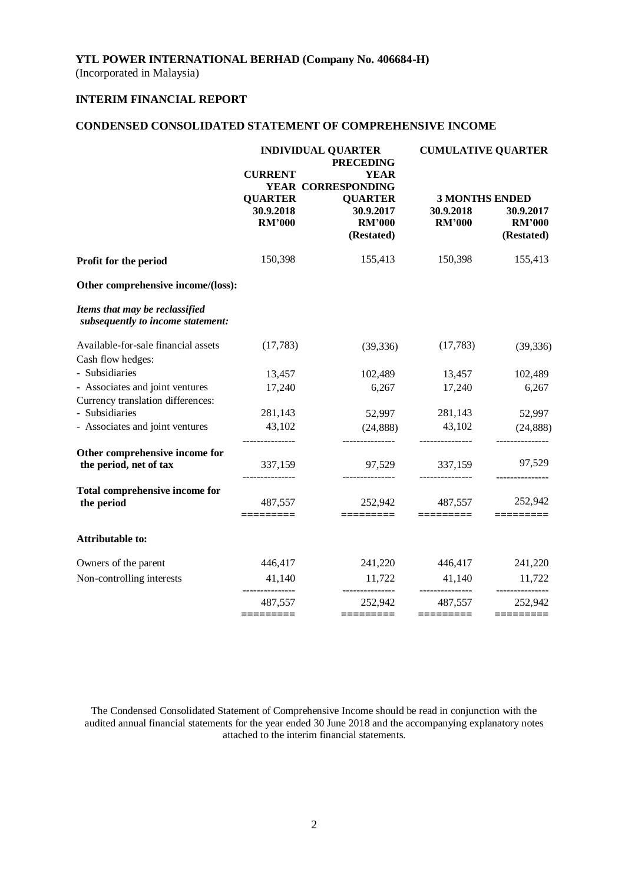(Incorporated in Malaysia)

## **INTERIM FINANCIAL REPORT**

## **CONDENSED CONSOLIDATED STATEMENT OF COMPREHENSIVE INCOME**

|                                                                      | <b>INDIVIDUAL QUARTER</b><br><b>PRECEDING</b><br><b>CURRENT</b><br><b>YEAR</b><br>YEAR CORRESPONDING |                                                            | <b>CUMULATIVE QUARTER</b>                           |                                          |  |
|----------------------------------------------------------------------|------------------------------------------------------------------------------------------------------|------------------------------------------------------------|-----------------------------------------------------|------------------------------------------|--|
|                                                                      | <b>QUARTER</b><br>30.9.2018<br><b>RM'000</b>                                                         | <b>QUARTER</b><br>30.9.2017<br><b>RM'000</b><br>(Restated) | <b>3 MONTHS ENDED</b><br>30.9.2018<br><b>RM'000</b> | 30.9.2017<br><b>RM'000</b><br>(Restated) |  |
| Profit for the period                                                | 150,398                                                                                              | 155,413                                                    | 150,398                                             | 155,413                                  |  |
| Other comprehensive income/(loss):                                   |                                                                                                      |                                                            |                                                     |                                          |  |
| Items that may be reclassified<br>subsequently to income statement:  |                                                                                                      |                                                            |                                                     |                                          |  |
| Available-for-sale financial assets<br>Cash flow hedges:             | (17,783)                                                                                             | (39, 336)                                                  | (17,783)                                            | (39, 336)                                |  |
| - Subsidiaries                                                       | 13,457                                                                                               | 102,489                                                    | 13,457                                              | 102,489                                  |  |
| - Associates and joint ventures<br>Currency translation differences: | 17,240                                                                                               | 6,267                                                      | 17,240                                              | 6,267                                    |  |
| - Subsidiaries                                                       | 281,143                                                                                              | 52,997                                                     | 281,143                                             | 52,997                                   |  |
| - Associates and joint ventures                                      | 43,102                                                                                               | (24, 888)                                                  | 43,102                                              | (24, 888)                                |  |
| Other comprehensive income for<br>the period, net of tax             | 337,159                                                                                              | 97,529                                                     | 337,159                                             | 97,529                                   |  |
| <b>Total comprehensive income for</b><br>the period                  | 487,557<br>=========                                                                                 | 252,942<br>=========                                       | 487,557<br>=========                                | 252,942                                  |  |
| <b>Attributable to:</b>                                              |                                                                                                      |                                                            |                                                     |                                          |  |
| Owners of the parent                                                 | 446,417                                                                                              | 241,220                                                    | 446,417                                             | 241,220                                  |  |
| Non-controlling interests                                            | 41,140                                                                                               | 11,722<br>---------------                                  | 41,140<br>---------------                           | 11,722<br>------------                   |  |
|                                                                      | 487,557                                                                                              | 252,942                                                    | 487,557                                             | 252,942                                  |  |
|                                                                      | =========                                                                                            |                                                            |                                                     | =========                                |  |

The Condensed Consolidated Statement of Comprehensive Income should be read in conjunction with the audited annual financial statements for the year ended 30 June 2018 and the accompanying explanatory notes attached to the interim financial statements.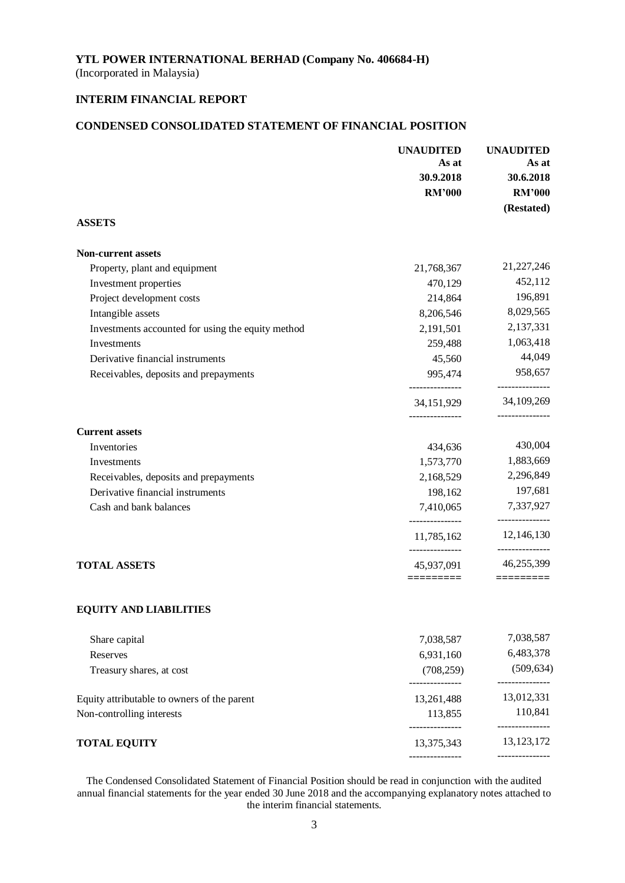(Incorporated in Malaysia)

## **INTERIM FINANCIAL REPORT**

## **CONDENSED CONSOLIDATED STATEMENT OF FINANCIAL POSITION**

|                                                   | <b>UNAUDITED</b>                                | <b>UNAUDITED</b>                |
|---------------------------------------------------|-------------------------------------------------|---------------------------------|
|                                                   | As at                                           | As at                           |
|                                                   | 30.9.2018                                       | 30.6.2018                       |
|                                                   | <b>RM'000</b>                                   | <b>RM'000</b>                   |
| <b>ASSETS</b>                                     |                                                 | (Restated)                      |
| <b>Non-current assets</b>                         |                                                 |                                 |
| Property, plant and equipment                     | 21,768,367                                      | 21,227,246                      |
| Investment properties                             | 470,129                                         | 452,112                         |
| Project development costs                         | 214,864                                         | 196,891                         |
| Intangible assets                                 | 8,206,546                                       | 8,029,565                       |
| Investments accounted for using the equity method | 2,191,501                                       | 2,137,331                       |
| Investments                                       | 259,488                                         | 1,063,418                       |
| Derivative financial instruments                  | 45,560                                          | 44,049                          |
| Receivables, deposits and prepayments             | 995,474                                         | 958,657<br>-------------        |
|                                                   | --------------<br>34,151,929<br>--------------- | 34, 109, 269<br>--------------- |
| <b>Current assets</b>                             |                                                 |                                 |
| Inventories                                       | 434,636                                         | 430,004                         |
| Investments                                       | 1,573,770                                       | 1,883,669                       |
| Receivables, deposits and prepayments             | 2,168,529                                       | 2,296,849                       |
| Derivative financial instruments                  | 198,162                                         | 197,681                         |
| Cash and bank balances                            | 7,410,065<br>.                                  | 7,337,927<br>---------------    |
|                                                   | 11,785,162                                      | 12,146,130<br>---------------   |
| <b>TOTAL ASSETS</b>                               | 45,937,091<br>=========                         | 46,255,399<br>=========         |
| <b>EQUITY AND LIABILITIES</b>                     |                                                 |                                 |
| Share capital                                     | 7,038,587                                       | 7,038,587                       |
| Reserves                                          | 6,931,160                                       | 6,483,378                       |
| Treasury shares, at cost                          | (708, 259)<br>.                                 | (509, 634)                      |
| Equity attributable to owners of the parent       | 13,261,488                                      | 13,012,331                      |
| Non-controlling interests                         | 113,855<br>--------------                       | 110,841<br>---------------      |
| <b>TOTAL EQUITY</b>                               | 13,375,343                                      | 13, 123, 172                    |
|                                                   |                                                 | ---------------                 |

The Condensed Consolidated Statement of Financial Position should be read in conjunction with the audited annual financial statements for the year ended 30 June 2018 and the accompanying explanatory notes attached to the interim financial statements.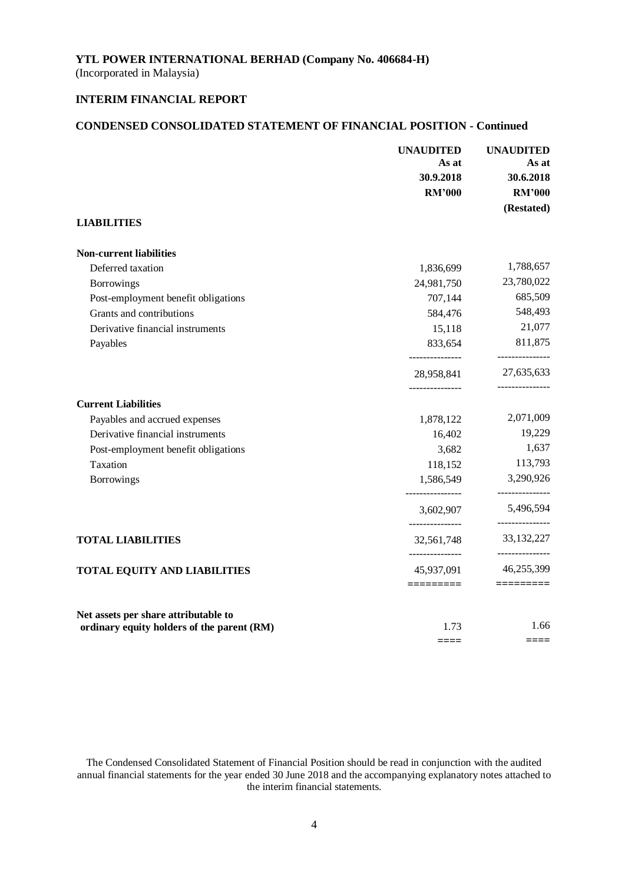(Incorporated in Malaysia)

## **INTERIM FINANCIAL REPORT**

## **CONDENSED CONSOLIDATED STATEMENT OF FINANCIAL POSITION - Continued**

|                                            | <b>UNAUDITED</b><br>As at<br>30.9.2018 | <b>UNAUDITED</b><br>As at<br>30.6.2018 |
|--------------------------------------------|----------------------------------------|----------------------------------------|
|                                            | <b>RM'000</b>                          | <b>RM'000</b><br>(Restated)            |
| <b>LIABILITIES</b>                         |                                        |                                        |
| <b>Non-current liabilities</b>             |                                        |                                        |
| Deferred taxation                          | 1,836,699                              | 1,788,657                              |
| <b>Borrowings</b>                          | 24,981,750                             | 23,780,022                             |
| Post-employment benefit obligations        | 707,144                                | 685,509                                |
| Grants and contributions                   | 584,476                                | 548,493                                |
| Derivative financial instruments           | 15,118                                 | 21,077                                 |
| Payables                                   | 833,654<br>_______________             | 811,875<br>---------------             |
|                                            | 28,958,841<br>---------------          | 27,635,633                             |
| <b>Current Liabilities</b>                 |                                        |                                        |
| Payables and accrued expenses              | 1,878,122                              | 2,071,009                              |
| Derivative financial instruments           | 16,402                                 | 19,229                                 |
| Post-employment benefit obligations        | 3,682                                  | 1,637                                  |
| Taxation                                   | 118,152                                | 113,793                                |
| <b>Borrowings</b>                          | 1,586,549<br>_______________           | 3,290,926<br>---------------           |
|                                            | 3,602,907                              | 5,496,594<br>---------------           |
| <b>TOTAL LIABILITIES</b>                   | 32,561,748                             | 33, 132, 227                           |
| <b>TOTAL EQUITY AND LIABILITIES</b>        | _______________<br>45,937,091          | ---------------<br>46,255,399          |
|                                            | $=$ $=$ $=$ $=$ $=$ $=$ $=$ $=$ $=$    | $=$ $=$ $=$ $=$ $=$ $=$ $=$ $=$ $=$    |
| Net assets per share attributable to       |                                        | 1.66                                   |
| ordinary equity holders of the parent (RM) | 1.73<br>====                           | ====                                   |
|                                            |                                        |                                        |

The Condensed Consolidated Statement of Financial Position should be read in conjunction with the audited annual financial statements for the year ended 30 June 2018 and the accompanying explanatory notes attached to the interim financial statements.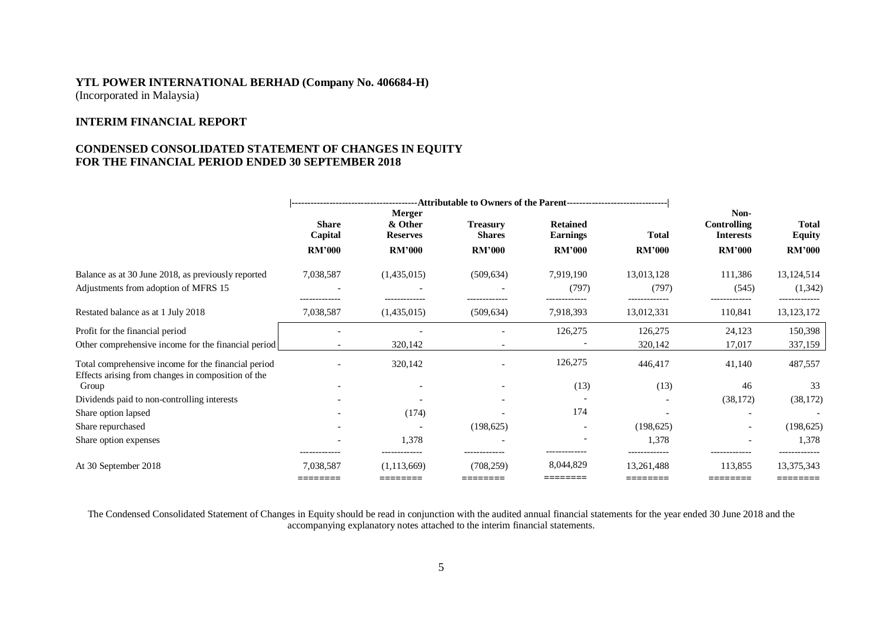#### **INTERIM FINANCIAL REPORT**

#### **CONDENSED CONSOLIDATED STATEMENT OF CHANGES IN EQUITY FOR THE FINANCIAL PERIOD ENDED 30 SEPTEMBER 2018**

|                                                                                                           | <b>Share</b><br>Capital<br><b>RM'000</b> | <b>Merger</b><br>& Other<br><b>Reserves</b><br><b>RM'000</b> | <b>Treasury</b><br><b>Shares</b><br><b>RM'000</b> | <b>Retained</b><br><b>Earnings</b><br><b>RM'000</b> | <b>Total</b><br><b>RM'000</b> | Non-<br><b>Controlling</b><br><b>Interests</b><br><b>RM'000</b> | Total<br><b>Equity</b><br><b>RM'000</b> |
|-----------------------------------------------------------------------------------------------------------|------------------------------------------|--------------------------------------------------------------|---------------------------------------------------|-----------------------------------------------------|-------------------------------|-----------------------------------------------------------------|-----------------------------------------|
| Balance as at 30 June 2018, as previously reported<br>Adjustments from adoption of MFRS 15                | 7,038,587<br>------------                | (1,435,015)                                                  | (509, 634)                                        | 7,919,190<br>(797)                                  | 13,013,128<br>(797)           | 111,386<br>(545)<br>------------                                | 13, 124, 514<br>(1,342)                 |
| Restated balance as at 1 July 2018                                                                        | 7,038,587                                | (1,435,015)                                                  | (509, 634)                                        | 7,918,393                                           | 13,012,331                    | 110,841                                                         | 13, 123, 172                            |
| Profit for the financial period                                                                           |                                          |                                                              |                                                   | 126,275                                             | 126,275                       | 24,123                                                          | 150,398                                 |
| Other comprehensive income for the financial period                                                       |                                          | 320,142                                                      |                                                   |                                                     | 320,142                       | 17,017                                                          | 337,159                                 |
| Total comprehensive income for the financial period<br>Effects arising from changes in composition of the |                                          | 320,142                                                      |                                                   | 126,275                                             | 446,417                       | 41,140                                                          | 487,557                                 |
| Group                                                                                                     |                                          |                                                              |                                                   | (13)                                                | (13)                          | 46                                                              | 33                                      |
| Dividends paid to non-controlling interests                                                               |                                          |                                                              |                                                   |                                                     |                               | (38, 172)                                                       | (38, 172)                               |
| Share option lapsed                                                                                       |                                          | (174)                                                        |                                                   | 174                                                 |                               |                                                                 |                                         |
| Share repurchased                                                                                         |                                          |                                                              | (198, 625)                                        |                                                     | (198, 625)                    | $\qquad \qquad$                                                 | (198, 625)                              |
| Share option expenses                                                                                     |                                          | 1,378                                                        |                                                   |                                                     | 1,378                         |                                                                 | 1,378                                   |
| At 30 September 2018                                                                                      | 7,038,587<br>========                    | (1,113,669)<br>========                                      | (708, 259)<br>========                            | 8,044,829<br>---------                              | 13,261,488<br>========        | 113,855<br>========                                             | 13,375,343<br>========                  |

The Condensed Consolidated Statement of Changes in Equity should be read in conjunction with the audited annual financial statements for the year ended 30 June 2018 and the accompanying explanatory notes attached to the interim financial statements.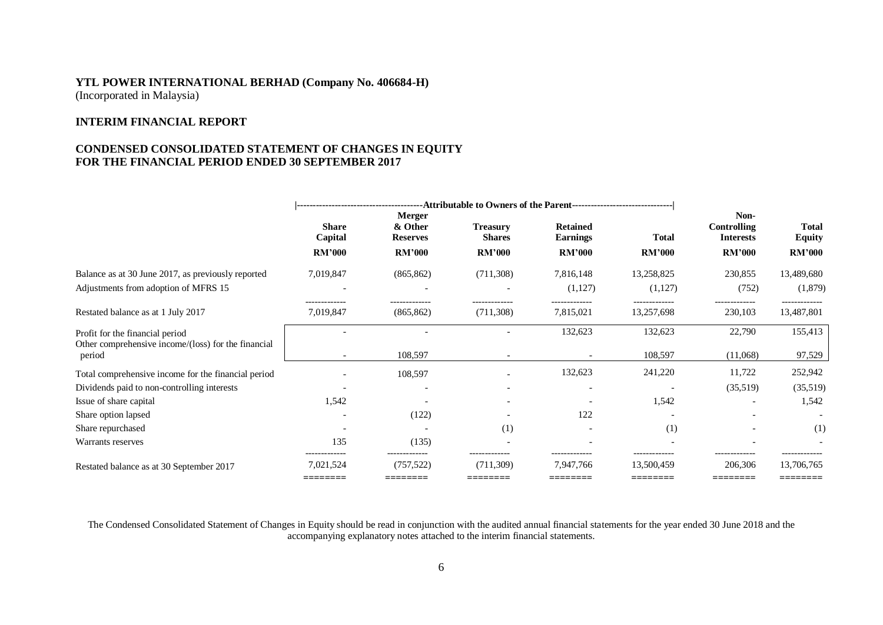#### **INTERIM FINANCIAL REPORT**

#### **CONDENSED CONSOLIDATED STATEMENT OF CHANGES IN EQUITY FOR THE FINANCIAL PERIOD ENDED 30 SEPTEMBER 2017**

|                                                                                            |                                        |                                             |                                         |                                        | Non-                                     |                                        |                               |
|--------------------------------------------------------------------------------------------|----------------------------------------|---------------------------------------------|-----------------------------------------|----------------------------------------|------------------------------------------|----------------------------------------|-------------------------------|
|                                                                                            | <b>Share</b><br>Capital                | <b>Merger</b><br>& Other<br><b>Reserves</b> | <b>Treasury</b><br><b>Shares</b>        | <b>Retained</b><br><b>Earnings</b>     | <b>Total</b>                             | <b>Controlling</b><br><b>Interests</b> | <b>Total</b><br><b>Equity</b> |
|                                                                                            | <b>RM'000</b>                          | <b>RM'000</b>                               | <b>RM'000</b>                           | <b>RM'000</b>                          | <b>RM'000</b>                            | <b>RM'000</b>                          | <b>RM'000</b>                 |
| Balance as at 30 June 2017, as previously reported<br>Adjustments from adoption of MFRS 15 | 7,019,847                              | (865, 862)                                  | (711, 308)                              | 7,816,148<br>(1,127)                   | 13,258,825<br>(1,127)                    | 230,855<br>(752)                       | 13,489,680<br>(1,879)         |
| Restated balance as at 1 July 2017                                                         | -------------<br>7,019,847             | (865, 862)                                  | (711, 308)                              | -------------<br>7,815,021             | -------------<br>13,257,698              | .<br>230,103                           | 13,487,801                    |
| Profit for the financial period<br>Other comprehensive income/(loss) for the financial     |                                        |                                             |                                         | 132,623                                | 132,623                                  | 22,790                                 | 155,413                       |
| period                                                                                     |                                        | 108,597                                     |                                         |                                        | 108,597                                  | (11,068)                               | 97,529                        |
| Total comprehensive income for the financial period                                        |                                        | 108,597                                     |                                         | 132,623                                | 241,220                                  | 11,722                                 | 252,942                       |
| Dividends paid to non-controlling interests                                                |                                        |                                             |                                         |                                        |                                          | (35,519)                               | (35,519)                      |
| Issue of share capital                                                                     | 1,542                                  |                                             |                                         |                                        | 1,542                                    |                                        | 1,542                         |
| Share option lapsed                                                                        |                                        | (122)                                       |                                         | 122                                    |                                          |                                        |                               |
| Share repurchased                                                                          |                                        |                                             | (1)                                     |                                        | (1)                                      |                                        | (1)                           |
| Warrants reserves                                                                          | 135                                    | (135)                                       |                                         |                                        |                                          |                                        |                               |
| Restated balance as at 30 September 2017                                                   | -------------<br>7,021,524<br>======== | --------------<br>(757, 522)<br>========    | --------------<br>(711,309)<br>======== | -------------<br>7.947.766<br>======== | --------------<br>13.500.459<br>======== | 206,306<br>=======                     | 13,706,765<br>========        |

The Condensed Consolidated Statement of Changes in Equity should be read in conjunction with the audited annual financial statements for the year ended 30 June 2018 and the accompanying explanatory notes attached to the interim financial statements.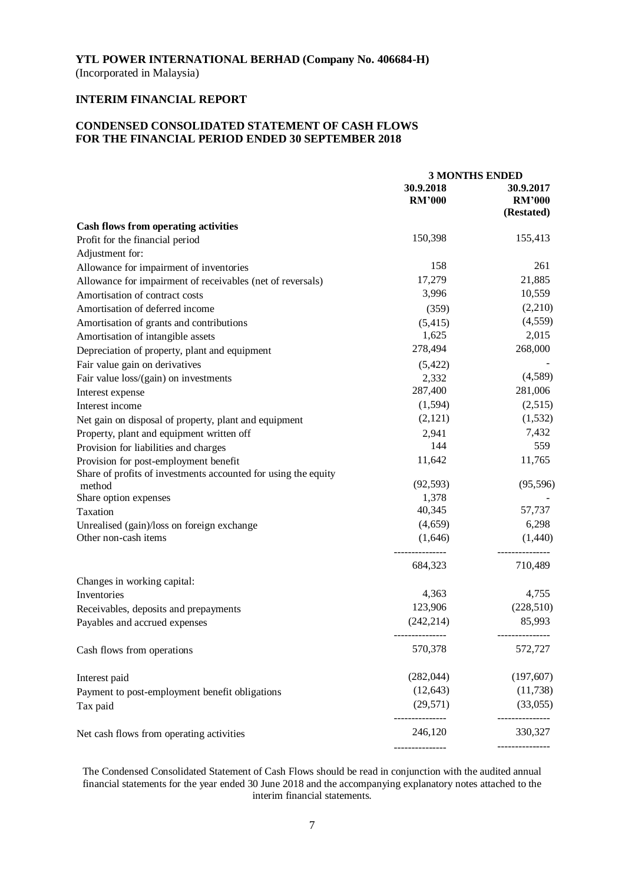(Incorporated in Malaysia)

## **INTERIM FINANCIAL REPORT**

## **CONDENSED CONSOLIDATED STATEMENT OF CASH FLOWS FOR THE FINANCIAL PERIOD ENDED 30 SEPTEMBER 2018**

|                                                                |               | <b>3 MONTHS ENDED</b> |
|----------------------------------------------------------------|---------------|-----------------------|
|                                                                | 30.9.2018     | 30.9.2017             |
|                                                                | <b>RM'000</b> | <b>RM'000</b>         |
|                                                                |               | (Restated)            |
| <b>Cash flows from operating activities</b>                    |               |                       |
| Profit for the financial period                                | 150,398       | 155,413               |
| Adjustment for:                                                |               |                       |
| Allowance for impairment of inventories                        | 158           | 261                   |
| Allowance for impairment of receivables (net of reversals)     | 17,279        | 21,885                |
| Amortisation of contract costs                                 | 3,996         | 10,559                |
| Amortisation of deferred income                                | (359)         | (2,210)               |
| Amortisation of grants and contributions                       | (5, 415)      | (4, 559)              |
| Amortisation of intangible assets                              | 1,625         | 2,015                 |
| Depreciation of property, plant and equipment                  | 278,494       | 268,000               |
| Fair value gain on derivatives                                 | (5, 422)      |                       |
| Fair value loss/(gain) on investments                          | 2,332         | (4,589)               |
| Interest expense                                               | 287,400       | 281,006               |
| Interest income                                                | (1, 594)      | (2,515)               |
| Net gain on disposal of property, plant and equipment          | (2,121)       | (1, 532)              |
| Property, plant and equipment written off                      | 2,941         | 7,432                 |
| Provision for liabilities and charges                          | 144           | 559                   |
| Provision for post-employment benefit                          | 11,642        | 11,765                |
| Share of profits of investments accounted for using the equity |               |                       |
| method                                                         | (92, 593)     | (95, 596)             |
| Share option expenses                                          | 1,378         |                       |
| Taxation                                                       | 40,345        | 57,737                |
| Unrealised (gain)/loss on foreign exchange                     | (4,659)       | 6,298                 |
| Other non-cash items                                           | (1,646)       | (1,440)               |
|                                                                | 684,323       | 710,489               |
| Changes in working capital:                                    |               |                       |
| Inventories                                                    | 4,363         | 4,755                 |
| Receivables, deposits and prepayments                          | 123,906       | (228, 510)            |
| Payables and accrued expenses                                  | (242, 214)    | 85,993                |
|                                                                |               |                       |
| Cash flows from operations                                     | 570,378       | 572,727               |
| Interest paid                                                  | (282, 044)    | (197, 607)            |
| Payment to post-employment benefit obligations                 | (12, 643)     | (11, 738)             |
| Tax paid                                                       | (29, 571)     | (33,055)              |
| Net cash flows from operating activities                       | 246,120       | ----------<br>330,327 |
|                                                                |               | ---------------       |

The Condensed Consolidated Statement of Cash Flows should be read in conjunction with the audited annual financial statements for the year ended 30 June 2018 and the accompanying explanatory notes attached to the interim financial statements.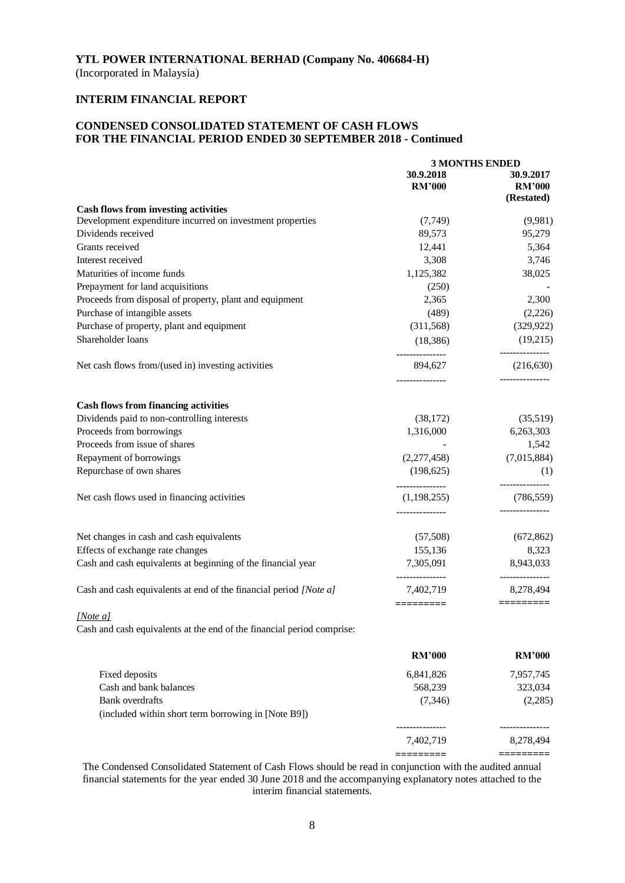(Incorporated in Malaysia)

## **INTERIM FINANCIAL REPORT**

## **CONDENSED CONSOLIDATED STATEMENT OF CASH FLOWS FOR THE FINANCIAL PERIOD ENDED 30 SEPTEMBER 2018 - Continued**

|                                                                        | <b>3 MONTHS ENDED</b>        |                                          |
|------------------------------------------------------------------------|------------------------------|------------------------------------------|
|                                                                        | 30.9.2018<br><b>RM'000</b>   | 30.9.2017<br><b>RM'000</b><br>(Restated) |
| <b>Cash flows from investing activities</b>                            |                              |                                          |
| Development expenditure incurred on investment properties              | (7, 749)                     | (9,981)                                  |
| Dividends received                                                     | 89,573                       | 95,279                                   |
| Grants received                                                        | 12,441                       | 5,364                                    |
| Interest received                                                      | 3,308                        | 3,746                                    |
| Maturities of income funds                                             | 1,125,382                    | 38,025                                   |
| Prepayment for land acquisitions                                       | (250)                        |                                          |
| Proceeds from disposal of property, plant and equipment                | 2,365                        | 2,300                                    |
| Purchase of intangible assets                                          | (489)                        | (2,226)                                  |
| Purchase of property, plant and equipment                              | (311,568)                    | (329, 922)                               |
| Shareholder loans                                                      | (18, 386)                    | (19,215)                                 |
| Net cash flows from/(used in) investing activities                     | ---------------<br>894,627   | ---------------<br>(216, 630)            |
| <b>Cash flows from financing activities</b>                            |                              |                                          |
| Dividends paid to non-controlling interests                            | (38,172)                     | (35,519)                                 |
| Proceeds from borrowings                                               | 1,316,000                    | 6,263,303                                |
| Proceeds from issue of shares                                          |                              | 1,542                                    |
| Repayment of borrowings                                                | (2,277,458)                  | (7,015,884)                              |
| Repurchase of own shares                                               | (198, 625)                   | (1)                                      |
|                                                                        | ---------------              |                                          |
| Net cash flows used in financing activities                            | (1,198,255)                  | (786, 559)                               |
| Net changes in cash and cash equivalents                               | (57,508)                     | (672, 862)                               |
| Effects of exchange rate changes                                       | 155,136                      | 8,323                                    |
| Cash and cash equivalents at beginning of the financial year           | 7,305,091                    | 8,943,033                                |
| Cash and cash equivalents at end of the financial period [Note a]      | ---------------<br>7,402,719 | 8,278,494                                |
| [Note a]                                                               | =========                    | =========                                |
| Cash and cash equivalents at the end of the financial period comprise: |                              |                                          |
|                                                                        | <b>RM'000</b>                | <b>RM'000</b>                            |
| Fixed deposits                                                         | 6,841,826                    | 7,957,745                                |
| Cash and bank balances                                                 | 568,239                      | 323,034                                  |
| <b>Bank</b> overdrafts                                                 | (7, 346)                     | (2,285)                                  |
| (included within short term borrowing in [Note B9])                    |                              |                                          |
|                                                                        | -------------<br>7,402,719   | 8,278,494                                |
|                                                                        | =========                    | =========                                |

The Condensed Consolidated Statement of Cash Flows should be read in conjunction with the audited annual financial statements for the year ended 30 June 2018 and the accompanying explanatory notes attached to the interim financial statements.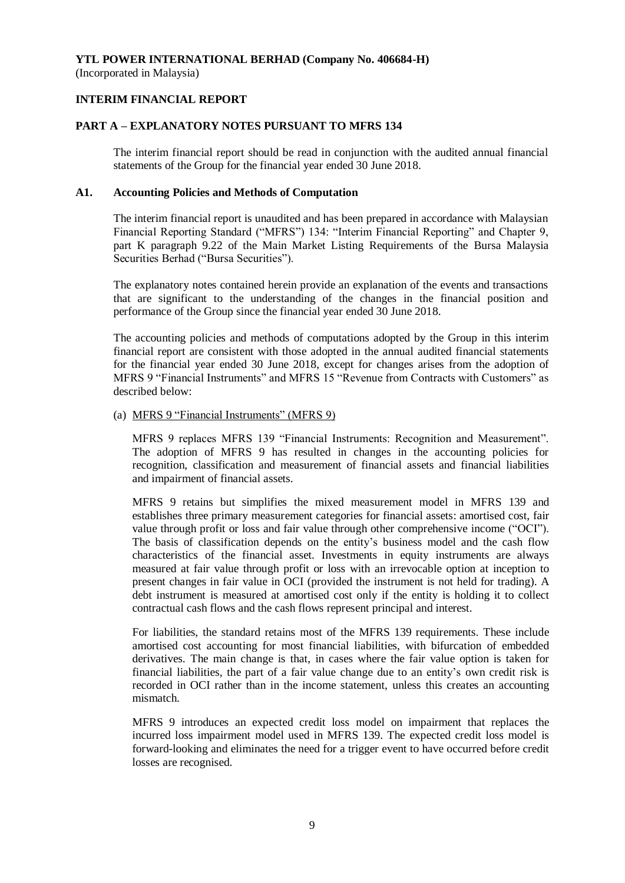(Incorporated in Malaysia)

## **INTERIM FINANCIAL REPORT**

#### **PART A – EXPLANATORY NOTES PURSUANT TO MFRS 134**

The interim financial report should be read in conjunction with the audited annual financial statements of the Group for the financial year ended 30 June 2018.

#### **A1. Accounting Policies and Methods of Computation**

The interim financial report is unaudited and has been prepared in accordance with Malaysian Financial Reporting Standard ("MFRS") 134: "Interim Financial Reporting" and Chapter 9, part K paragraph 9.22 of the Main Market Listing Requirements of the Bursa Malaysia Securities Berhad ("Bursa Securities").

The explanatory notes contained herein provide an explanation of the events and transactions that are significant to the understanding of the changes in the financial position and performance of the Group since the financial year ended 30 June 2018.

The accounting policies and methods of computations adopted by the Group in this interim financial report are consistent with those adopted in the annual audited financial statements for the financial year ended 30 June 2018, except for changes arises from the adoption of MFRS 9 "Financial Instruments" and MFRS 15 "Revenue from Contracts with Customers" as described below:

#### (a) MFRS 9 "Financial Instruments" (MFRS 9)

MFRS 9 replaces MFRS 139 "Financial Instruments: Recognition and Measurement". The adoption of MFRS 9 has resulted in changes in the accounting policies for recognition, classification and measurement of financial assets and financial liabilities and impairment of financial assets.

MFRS 9 retains but simplifies the mixed measurement model in MFRS 139 and establishes three primary measurement categories for financial assets: amortised cost, fair value through profit or loss and fair value through other comprehensive income ("OCI"). The basis of classification depends on the entity's business model and the cash flow characteristics of the financial asset. Investments in equity instruments are always measured at fair value through profit or loss with an irrevocable option at inception to present changes in fair value in OCI (provided the instrument is not held for trading). A debt instrument is measured at amortised cost only if the entity is holding it to collect contractual cash flows and the cash flows represent principal and interest.

For liabilities, the standard retains most of the MFRS 139 requirements. These include amortised cost accounting for most financial liabilities, with bifurcation of embedded derivatives. The main change is that, in cases where the fair value option is taken for financial liabilities, the part of a fair value change due to an entity's own credit risk is recorded in OCI rather than in the income statement, unless this creates an accounting mismatch.

MFRS 9 introduces an expected credit loss model on impairment that replaces the incurred loss impairment model used in MFRS 139. The expected credit loss model is forward-looking and eliminates the need for a trigger event to have occurred before credit losses are recognised.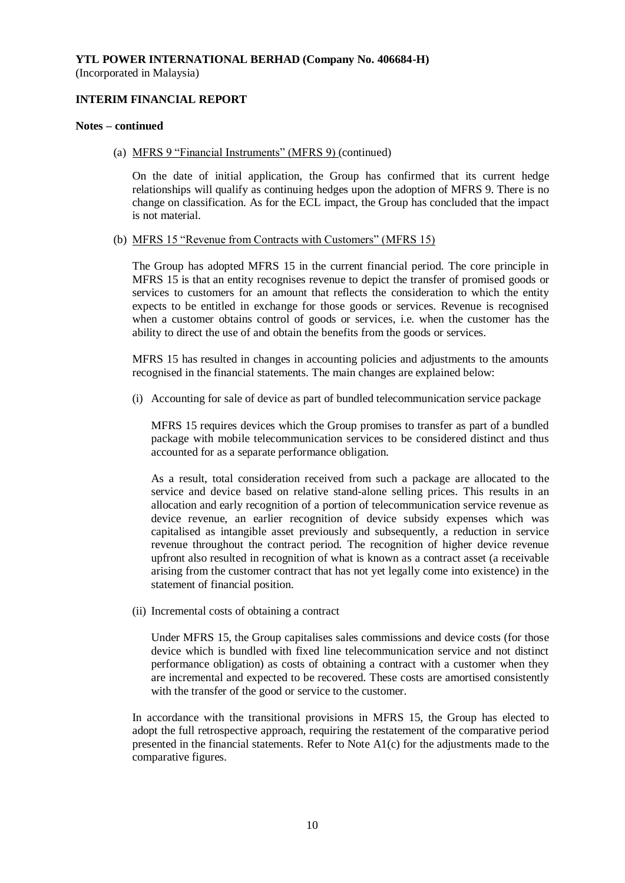#### **INTERIM FINANCIAL REPORT**

#### **Notes – continued**

(a) MFRS 9 "Financial Instruments" (MFRS 9) (continued)

On the date of initial application, the Group has confirmed that its current hedge relationships will qualify as continuing hedges upon the adoption of MFRS 9. There is no change on classification. As for the ECL impact, the Group has concluded that the impact is not material.

#### (b) MFRS 15 "Revenue from Contracts with Customers" (MFRS 15)

The Group has adopted MFRS 15 in the current financial period. The core principle in MFRS 15 is that an entity recognises revenue to depict the transfer of promised goods or services to customers for an amount that reflects the consideration to which the entity expects to be entitled in exchange for those goods or services. Revenue is recognised when a customer obtains control of goods or services, i.e. when the customer has the ability to direct the use of and obtain the benefits from the goods or services.

MFRS 15 has resulted in changes in accounting policies and adjustments to the amounts recognised in the financial statements. The main changes are explained below:

(i) Accounting for sale of device as part of bundled telecommunication service package

MFRS 15 requires devices which the Group promises to transfer as part of a bundled package with mobile telecommunication services to be considered distinct and thus accounted for as a separate performance obligation.

As a result, total consideration received from such a package are allocated to the service and device based on relative stand-alone selling prices. This results in an allocation and early recognition of a portion of telecommunication service revenue as device revenue, an earlier recognition of device subsidy expenses which was capitalised as intangible asset previously and subsequently, a reduction in service revenue throughout the contract period. The recognition of higher device revenue upfront also resulted in recognition of what is known as a contract asset (a receivable arising from the customer contract that has not yet legally come into existence) in the statement of financial position.

(ii) Incremental costs of obtaining a contract

Under MFRS 15, the Group capitalises sales commissions and device costs (for those device which is bundled with fixed line telecommunication service and not distinct performance obligation) as costs of obtaining a contract with a customer when they are incremental and expected to be recovered. These costs are amortised consistently with the transfer of the good or service to the customer.

In accordance with the transitional provisions in MFRS 15, the Group has elected to adopt the full retrospective approach, requiring the restatement of the comparative period presented in the financial statements. Refer to Note  $A1(c)$  for the adjustments made to the comparative figures.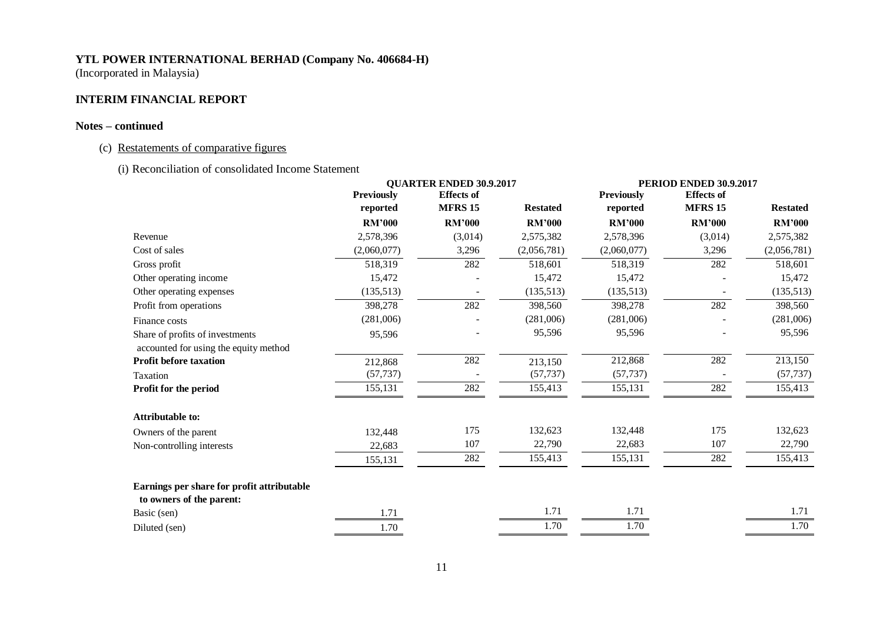(Incorporated in Malaysia)

## **INTERIM FINANCIAL REPORT**

#### **Notes – continued**

## (c) Restatements of comparative figures

(i) Reconciliation of consolidated Income Statement

|                                                                          |                   | <b>QUARTER ENDED 30.9.2017</b> |                 |                   | PERIOD ENDED 30.9.2017 |                 |
|--------------------------------------------------------------------------|-------------------|--------------------------------|-----------------|-------------------|------------------------|-----------------|
|                                                                          | <b>Previously</b> | <b>Effects</b> of              |                 | <b>Previously</b> | <b>Effects</b> of      |                 |
|                                                                          | reported          | <b>MFRS 15</b>                 | <b>Restated</b> | reported          | <b>MFRS 15</b>         | <b>Restated</b> |
|                                                                          | <b>RM'000</b>     | <b>RM'000</b>                  | <b>RM'000</b>   | <b>RM'000</b>     | <b>RM'000</b>          | <b>RM'000</b>   |
| Revenue                                                                  | 2,578,396         | (3,014)                        | 2,575,382       | 2,578,396         | (3,014)                | 2,575,382       |
| Cost of sales                                                            | (2,060,077)       | 3,296                          | (2,056,781)     | (2,060,077)       | 3,296                  | (2,056,781)     |
| Gross profit                                                             | 518,319           | 282                            | 518,601         | 518,319           | 282                    | 518,601         |
| Other operating income                                                   | 15,472            |                                | 15,472          | 15,472            |                        | 15,472          |
| Other operating expenses                                                 | (135,513)         |                                | (135,513)       | (135,513)         |                        | (135,513)       |
| Profit from operations                                                   | 398,278           | 282                            | 398,560         | 398,278           | 282                    | 398,560         |
| Finance costs                                                            | (281,006)         |                                | (281,006)       | (281,006)         |                        | (281,006)       |
| Share of profits of investments<br>accounted for using the equity method | 95,596            |                                | 95,596          | 95,596            |                        | 95,596          |
| <b>Profit before taxation</b>                                            | 212,868           | 282                            | 213,150         | 212,868           | 282                    | 213,150         |
| Taxation                                                                 | (57, 737)         |                                | (57, 737)       | (57, 737)         |                        | (57, 737)       |
| Profit for the period                                                    | 155,131           | 282                            | 155,413         | 155,131           | 282                    | 155,413         |
| <b>Attributable to:</b>                                                  |                   |                                |                 |                   |                        |                 |
| Owners of the parent                                                     | 132,448           | 175                            | 132,623         | 132,448           | 175                    | 132,623         |
| Non-controlling interests                                                | 22,683            | 107                            | 22,790          | 22,683            | 107                    | 22,790          |
|                                                                          | 155,131           | 282                            | 155,413         | 155,131           | 282                    | 155,413         |
| Earnings per share for profit attributable<br>to owners of the parent:   |                   |                                |                 |                   |                        |                 |
| Basic (sen)                                                              | 1.71              |                                | 1.71            | 1.71              |                        | 1.71            |
| Diluted (sen)                                                            | 1.70              |                                | 1.70            | 1.70              |                        | 1.70            |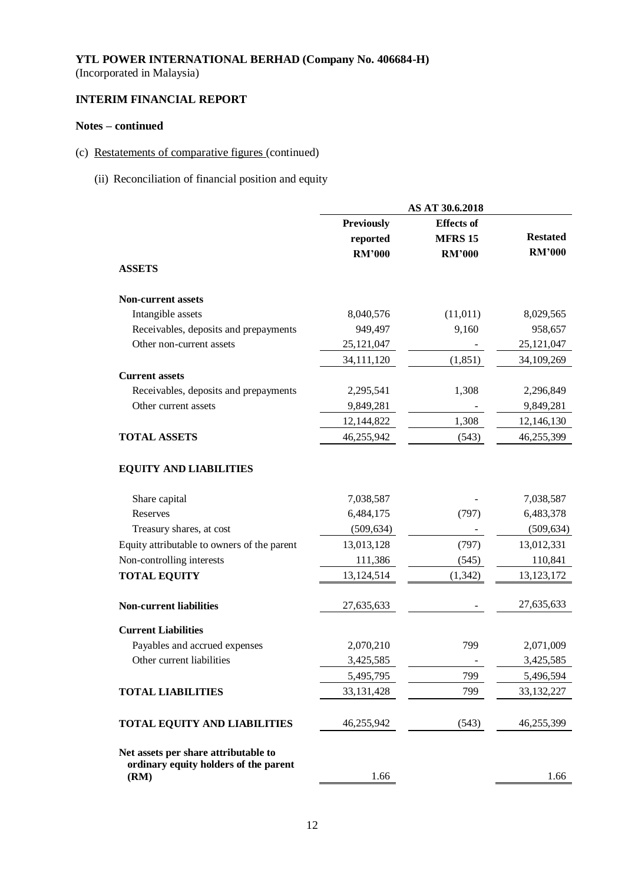(Incorporated in Malaysia)

## **INTERIM FINANCIAL REPORT**

## **Notes – continued**

# (c) Restatements of comparative figures (continued)

(ii) Reconciliation of financial position and equity

|                                                                               |                   | AS AT 30.6.2018   |                 |
|-------------------------------------------------------------------------------|-------------------|-------------------|-----------------|
|                                                                               | <b>Previously</b> | <b>Effects</b> of |                 |
|                                                                               | reported          | <b>MFRS 15</b>    | <b>Restated</b> |
|                                                                               | <b>RM'000</b>     | <b>RM'000</b>     | <b>RM'000</b>   |
| <b>ASSETS</b>                                                                 |                   |                   |                 |
| <b>Non-current assets</b>                                                     |                   |                   |                 |
| Intangible assets                                                             | 8,040,576         | (11, 011)         | 8,029,565       |
| Receivables, deposits and prepayments                                         | 949,497           | 9,160             | 958,657         |
| Other non-current assets                                                      | 25, 121, 047      |                   | 25, 121, 047    |
|                                                                               | 34,111,120        | (1, 851)          | 34,109,269      |
| <b>Current assets</b>                                                         |                   |                   |                 |
| Receivables, deposits and prepayments                                         | 2,295,541         | 1,308             | 2,296,849       |
| Other current assets                                                          | 9,849,281         |                   | 9,849,281       |
|                                                                               | 12,144,822        | 1,308             | 12,146,130      |
| <b>TOTAL ASSETS</b>                                                           | 46,255,942        | (543)             | 46,255,399      |
| <b>EQUITY AND LIABILITIES</b>                                                 |                   |                   |                 |
| Share capital                                                                 | 7,038,587         |                   | 7,038,587       |
| Reserves                                                                      | 6,484,175         | (797)             | 6,483,378       |
| Treasury shares, at cost                                                      | (509, 634)        |                   | (509, 634)      |
| Equity attributable to owners of the parent                                   | 13,013,128        | (797)             | 13,012,331      |
| Non-controlling interests                                                     | 111,386           | (545)             | 110,841         |
| <b>TOTAL EQUITY</b>                                                           | 13,124,514        | (1, 342)          | 13, 123, 172    |
| <b>Non-current liabilities</b>                                                | 27,635,633        |                   | 27,635,633      |
| <b>Current Liabilities</b>                                                    |                   |                   |                 |
| Payables and accrued expenses                                                 | 2,070,210         | 799               | 2,071,009       |
| Other current liabilities                                                     | 3,425,585         |                   | 3,425,585       |
|                                                                               | 5,495,795         | 799               | 5,496,594       |
| <b>TOTAL LIABILITIES</b>                                                      | 33, 131, 428      | 799               | 33, 132, 227    |
| <b>TOTAL EQUITY AND LIABILITIES</b>                                           | 46,255,942        | (543)             | 46,255,399      |
| Net assets per share attributable to<br>ordinary equity holders of the parent |                   |                   |                 |
| (RM)                                                                          | 1.66              |                   | 1.66            |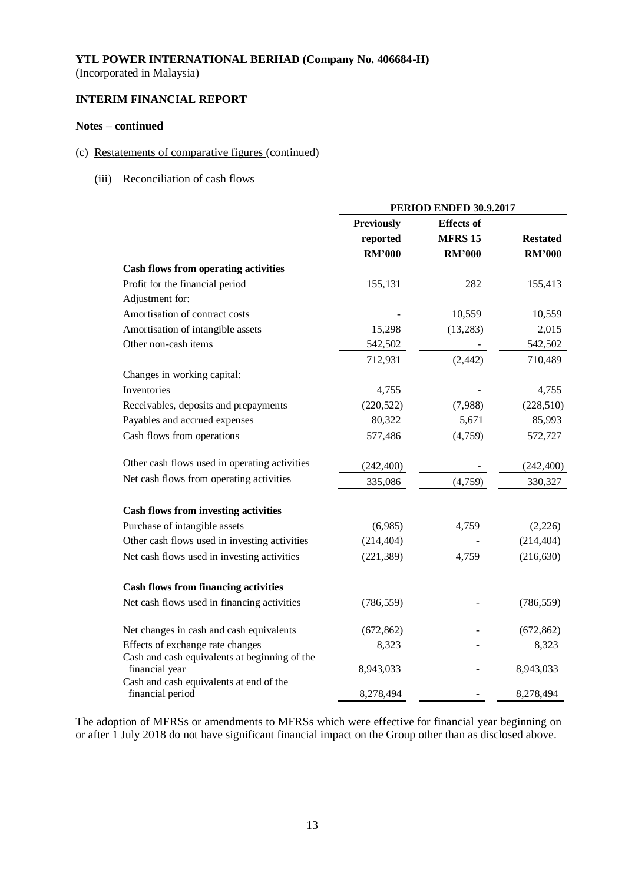(Incorporated in Malaysia)

## **INTERIM FINANCIAL REPORT**

#### **Notes – continued**

#### (c) Restatements of comparative figures (continued)

(iii) Reconciliation of cash flows

|                                                             | <b>PERIOD ENDED 30.9.2017</b> |                   |                 |  |
|-------------------------------------------------------------|-------------------------------|-------------------|-----------------|--|
|                                                             | <b>Previously</b>             | <b>Effects</b> of |                 |  |
|                                                             | reported                      | <b>MFRS 15</b>    | <b>Restated</b> |  |
|                                                             | <b>RM'000</b>                 | <b>RM'000</b>     | <b>RM'000</b>   |  |
| <b>Cash flows from operating activities</b>                 |                               |                   |                 |  |
| Profit for the financial period                             | 155,131                       | 282               | 155,413         |  |
| Adjustment for:                                             |                               |                   |                 |  |
| Amortisation of contract costs                              |                               | 10,559            | 10,559          |  |
| Amortisation of intangible assets                           | 15,298                        | (13, 283)         | 2,015           |  |
| Other non-cash items                                        | 542,502                       |                   | 542,502         |  |
|                                                             | 712,931                       | (2, 442)          | 710,489         |  |
| Changes in working capital:                                 |                               |                   |                 |  |
| Inventories                                                 | 4,755                         |                   | 4,755           |  |
| Receivables, deposits and prepayments                       | (220, 522)                    | (7,988)           | (228, 510)      |  |
| Payables and accrued expenses                               | 80,322                        | 5,671             | 85,993          |  |
| Cash flows from operations                                  | 577,486                       | (4,759)           | 572,727         |  |
| Other cash flows used in operating activities               | (242, 400)                    |                   | (242, 400)      |  |
| Net cash flows from operating activities                    | 335,086                       | (4,759)           | 330,327         |  |
| <b>Cash flows from investing activities</b>                 |                               |                   |                 |  |
| Purchase of intangible assets                               | (6,985)                       | 4,759             | (2,226)         |  |
| Other cash flows used in investing activities               | (214, 404)                    |                   | (214, 404)      |  |
| Net cash flows used in investing activities                 | (221, 389)                    | 4,759             | (216, 630)      |  |
| <b>Cash flows from financing activities</b>                 |                               |                   |                 |  |
| Net cash flows used in financing activities                 | (786, 559)                    |                   | (786, 559)      |  |
| Net changes in cash and cash equivalents                    | (672, 862)                    |                   | (672, 862)      |  |
| Effects of exchange rate changes                            | 8,323                         |                   | 8,323           |  |
| Cash and cash equivalents at beginning of the               |                               |                   |                 |  |
| financial year                                              | 8,943,033                     |                   | 8,943,033       |  |
| Cash and cash equivalents at end of the<br>financial period | 8,278,494                     |                   | 8,278,494       |  |

The adoption of MFRSs or amendments to MFRSs which were effective for financial year beginning on or after 1 July 2018 do not have significant financial impact on the Group other than as disclosed above.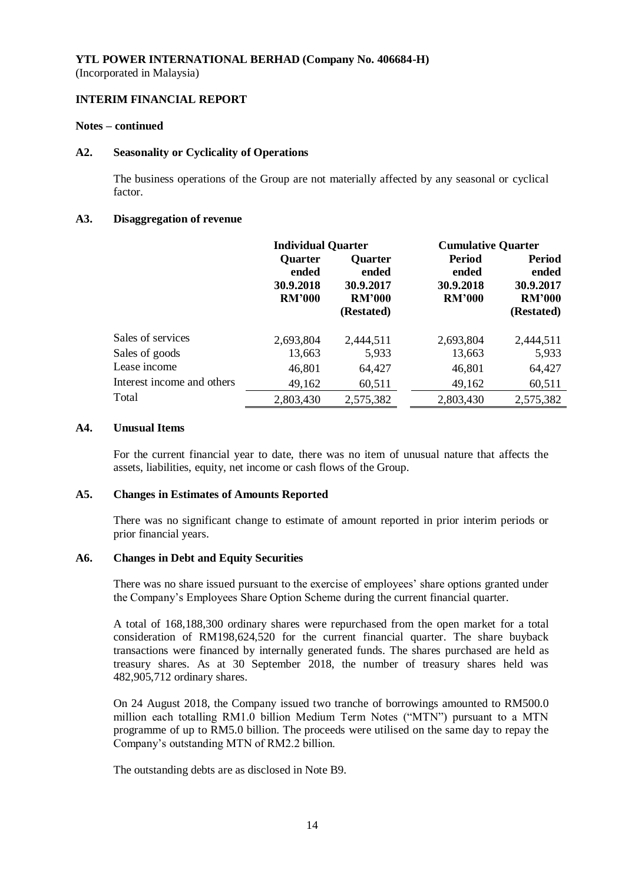#### **INTERIM FINANCIAL REPORT**

#### **Notes – continued**

#### **A2. Seasonality or Cyclicality of Operations**

The business operations of the Group are not materially affected by any seasonal or cyclical factor.

#### **A3. Disaggregation of revenue**

|                            | <b>Individual Quarter</b>                             |                                                                     | <b>Cumulative Quarter</b>                            |                                                                    |
|----------------------------|-------------------------------------------------------|---------------------------------------------------------------------|------------------------------------------------------|--------------------------------------------------------------------|
|                            | <b>Quarter</b><br>ended<br>30.9.2018<br><b>RM'000</b> | <b>Ouarter</b><br>ended<br>30.9.2017<br><b>RM'000</b><br>(Restated) | <b>Period</b><br>ended<br>30.9.2018<br><b>RM'000</b> | <b>Period</b><br>ended<br>30.9.2017<br><b>RM'000</b><br>(Restated) |
| Sales of services          | 2,693,804                                             | 2,444,511                                                           | 2,693,804                                            | 2,444,511                                                          |
| Sales of goods             | 13,663                                                | 5,933                                                               | 13,663                                               | 5,933                                                              |
| Lease income               | 46,801                                                | 64,427                                                              | 46,801                                               | 64,427                                                             |
| Interest income and others | 49,162                                                | 60,511                                                              | 49,162                                               | 60,511                                                             |
| Total                      | 2,803,430                                             | 2,575,382                                                           | 2,803,430                                            | 2,575,382                                                          |

#### **A4. Unusual Items**

For the current financial year to date, there was no item of unusual nature that affects the assets, liabilities, equity, net income or cash flows of the Group.

#### **A5. Changes in Estimates of Amounts Reported**

There was no significant change to estimate of amount reported in prior interim periods or prior financial years.

#### **A6. Changes in Debt and Equity Securities**

There was no share issued pursuant to the exercise of employees' share options granted under the Company's Employees Share Option Scheme during the current financial quarter.

A total of 168,188,300 ordinary shares were repurchased from the open market for a total consideration of RM198,624,520 for the current financial quarter. The share buyback transactions were financed by internally generated funds. The shares purchased are held as treasury shares. As at 30 September 2018, the number of treasury shares held was 482,905,712 ordinary shares.

On 24 August 2018, the Company issued two tranche of borrowings amounted to RM500.0 million each totalling RM1.0 billion Medium Term Notes ("MTN") pursuant to a MTN programme of up to RM5.0 billion. The proceeds were utilised on the same day to repay the Company's outstanding MTN of RM2.2 billion.

The outstanding debts are as disclosed in Note B9.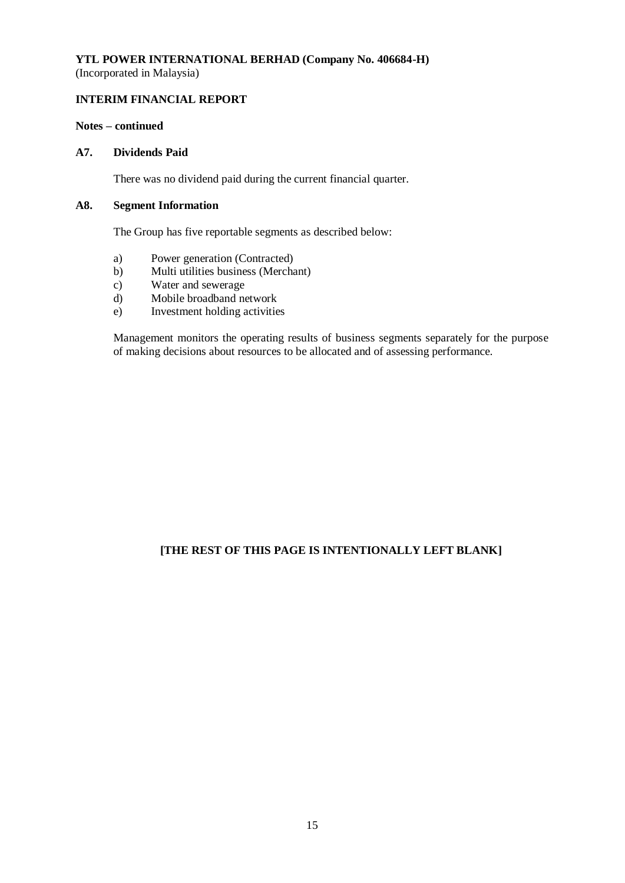(Incorporated in Malaysia)

## **INTERIM FINANCIAL REPORT**

### **Notes – continued**

#### **A7. Dividends Paid**

There was no dividend paid during the current financial quarter.

#### **A8. Segment Information**

The Group has five reportable segments as described below:

- a) Power generation (Contracted)
- b) Multi utilities business (Merchant)
- c) Water and sewerage
- d) Mobile broadband network
- e) Investment holding activities

Management monitors the operating results of business segments separately for the purpose of making decisions about resources to be allocated and of assessing performance.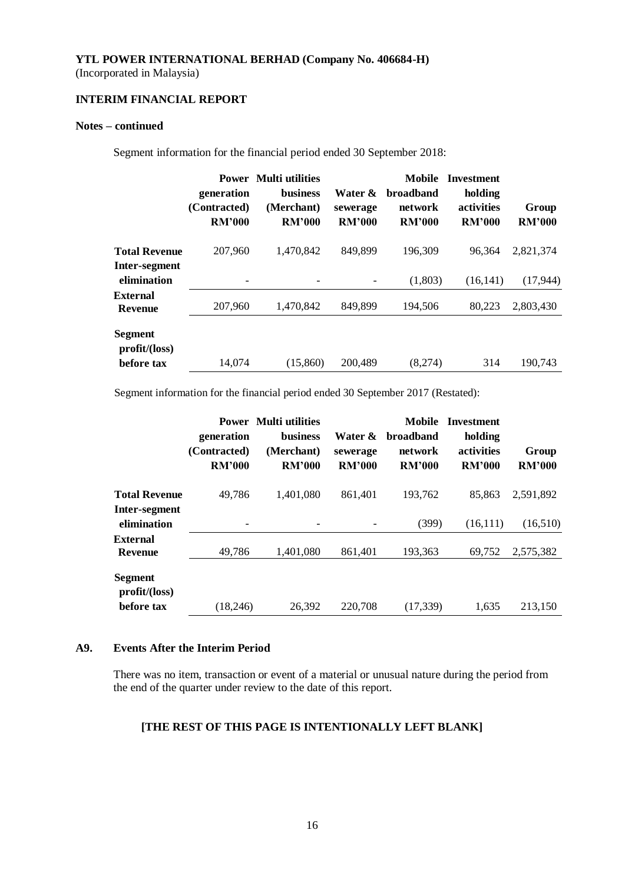(Incorporated in Malaysia)

## **INTERIM FINANCIAL REPORT**

### **Notes – continued**

Segment information for the financial period ended 30 September 2018:

|                                       | generation<br>(Contracted)<br><b>RM'000</b> | <b>Power Multi utilities</b><br><b>business</b><br>(Merchant)<br><b>RM'000</b> | Water &<br>sewerage<br><b>RM'000</b> | <b>Mobile</b><br><b>broadband</b><br>network<br><b>RM'000</b> | <b>Investment</b><br>holding<br>activities<br><b>RM'000</b> | Group<br><b>RM'000</b> |
|---------------------------------------|---------------------------------------------|--------------------------------------------------------------------------------|--------------------------------------|---------------------------------------------------------------|-------------------------------------------------------------|------------------------|
| <b>Total Revenue</b><br>Inter-segment | 207,960                                     | 1.470.842                                                                      | 849,899                              | 196,309                                                       | 96,364                                                      | 2,821,374              |
| elimination                           |                                             |                                                                                |                                      | (1,803)                                                       | (16, 141)                                                   | (17,944)               |
| External<br>Revenue                   | 207,960                                     | 1,470,842                                                                      | 849,899                              | 194,506                                                       | 80,223                                                      | 2,803,430              |
| Segment<br>profit/loss)<br>before tax | 14,074                                      | (15,860)                                                                       | 200,489                              | (8,274)                                                       | 314                                                         | 190.743                |

Segment information for the financial period ended 30 September 2017 (Restated):

| generation<br>(Contracted)<br><b>RM'000</b> | business<br>(Merchant)<br><b>RM'000</b> | Water &<br>sewerage<br><b>RM'000</b>               | <b>Mobile</b><br><b>broadband</b><br>network<br><b>RM'000</b> | <b>Investment</b><br>holding<br>activities<br><b>RM'000</b> | Group<br><b>RM'000</b> |
|---------------------------------------------|-----------------------------------------|----------------------------------------------------|---------------------------------------------------------------|-------------------------------------------------------------|------------------------|
| 49,786                                      | 1,401,080                               | 861,401                                            | 193,762                                                       | 85,863                                                      | 2,591,892              |
|                                             |                                         |                                                    | (399)                                                         | (16,111)                                                    | (16,510)               |
| 49,786                                      | 1,401,080                               | 861,401                                            | 193,363                                                       | 69,752                                                      | 2,575,382              |
|                                             |                                         |                                                    |                                                               |                                                             | 213,150                |
|                                             |                                         | <b>Power</b> Multi utilities<br>26,392<br>(18,246) | 220,708                                                       | (17, 339)                                                   | 1.635                  |

#### **A9. Events After the Interim Period**

There was no item, transaction or event of a material or unusual nature during the period from the end of the quarter under review to the date of this report.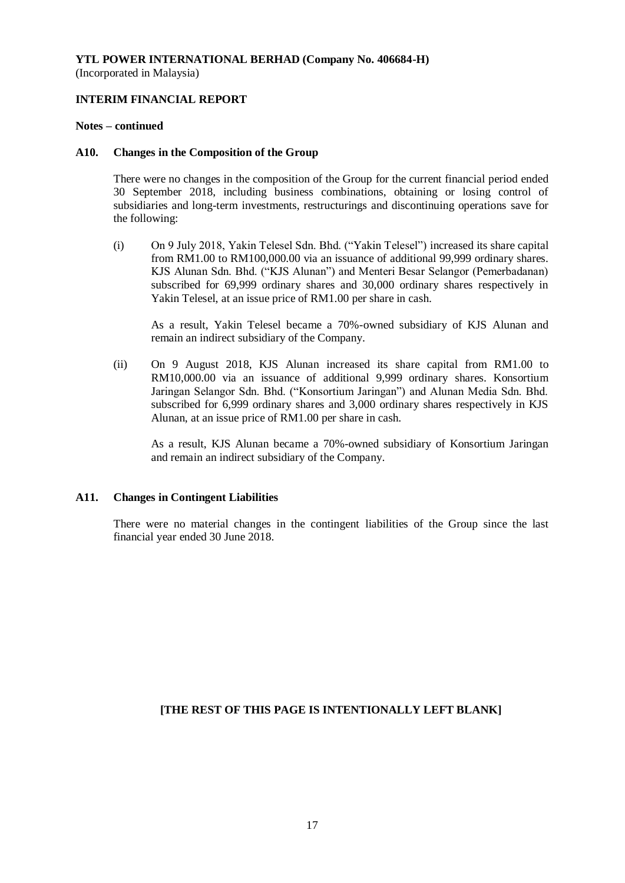#### **INTERIM FINANCIAL REPORT**

#### **Notes – continued**

#### **A10. Changes in the Composition of the Group**

There were no changes in the composition of the Group for the current financial period ended 30 September 2018, including business combinations, obtaining or losing control of subsidiaries and long-term investments, restructurings and discontinuing operations save for the following:

(i) On 9 July 2018, Yakin Telesel Sdn. Bhd. ("Yakin Telesel") increased its share capital from RM1.00 to RM100,000.00 via an issuance of additional 99,999 ordinary shares. KJS Alunan Sdn. Bhd. ("KJS Alunan") and Menteri Besar Selangor (Pemerbadanan) subscribed for 69,999 ordinary shares and 30,000 ordinary shares respectively in Yakin Telesel, at an issue price of RM1.00 per share in cash.

As a result, Yakin Telesel became a 70%-owned subsidiary of KJS Alunan and remain an indirect subsidiary of the Company.

(ii) On 9 August 2018, KJS Alunan increased its share capital from RM1.00 to RM10,000.00 via an issuance of additional 9,999 ordinary shares. Konsortium Jaringan Selangor Sdn. Bhd. ("Konsortium Jaringan") and Alunan Media Sdn. Bhd. subscribed for 6,999 ordinary shares and 3,000 ordinary shares respectively in KJS Alunan, at an issue price of RM1.00 per share in cash.

As a result, KJS Alunan became a 70%-owned subsidiary of Konsortium Jaringan and remain an indirect subsidiary of the Company.

#### **A11. Changes in Contingent Liabilities**

There were no material changes in the contingent liabilities of the Group since the last financial year ended 30 June 2018.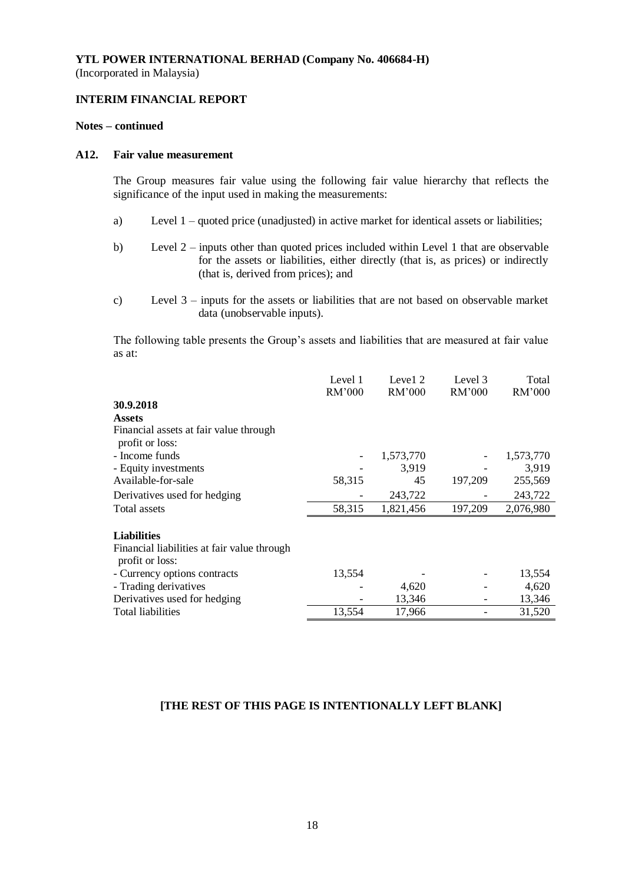## **INTERIM FINANCIAL REPORT**

#### **Notes – continued**

#### **A12. Fair value measurement**

The Group measures fair value using the following fair value hierarchy that reflects the significance of the input used in making the measurements:

- a) Level 1 quoted price (unadjusted) in active market for identical assets or liabilities;
- b) Level 2 inputs other than quoted prices included within Level 1 that are observable for the assets or liabilities, either directly (that is, as prices) or indirectly (that is, derived from prices); and
- c) Level 3 inputs for the assets or liabilities that are not based on observable market data (unobservable inputs).

The following table presents the Group's assets and liabilities that are measured at fair value as at:

|                                                                | Level 1<br>RM'000 | Level 2<br>RM'000 | Level 3<br>RM'000 | Total<br>RM'000 |
|----------------------------------------------------------------|-------------------|-------------------|-------------------|-----------------|
| 30.9.2018                                                      |                   |                   |                   |                 |
| <b>Assets</b>                                                  |                   |                   |                   |                 |
| Financial assets at fair value through<br>profit or loss:      |                   |                   |                   |                 |
| - Income funds                                                 |                   | 1,573,770         |                   | 1,573,770       |
| - Equity investments                                           |                   | 3,919             |                   | 3,919           |
| Available-for-sale                                             | 58,315            | 45                | 197,209           | 255,569         |
| Derivatives used for hedging                                   |                   | 243,722           |                   | 243,722         |
| Total assets                                                   | 58,315            | 1,821,456         | 197,209           | 2,076,980       |
| <b>Liabilities</b>                                             |                   |                   |                   |                 |
| Financial liabilities at fair value through<br>profit or loss: |                   |                   |                   |                 |
| - Currency options contracts                                   | 13,554            |                   |                   | 13,554          |
| - Trading derivatives                                          |                   | 4,620             |                   | 4,620           |
| Derivatives used for hedging                                   |                   | 13,346            |                   | 13,346          |
| <b>Total liabilities</b>                                       | 13,554            | 17,966            |                   | 31,520          |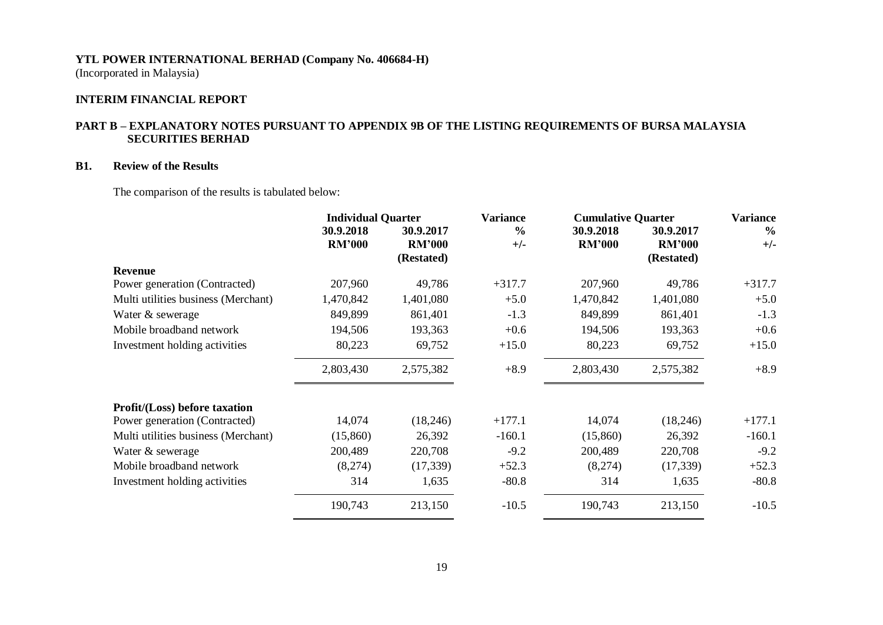(Incorporated in Malaysia)

### **INTERIM FINANCIAL REPORT**

## **PART B – EXPLANATORY NOTES PURSUANT TO APPENDIX 9B OF THE LISTING REQUIREMENTS OF BURSA MALAYSIA SECURITIES BERHAD**

#### **B1. Review of the Results**

The comparison of the results is tabulated below:

|                                      | <b>Individual Quarter</b> |               | <b>Variance</b> |               | <b>Cumulative Quarter</b> |               |
|--------------------------------------|---------------------------|---------------|-----------------|---------------|---------------------------|---------------|
|                                      | 30.9.2018                 | 30.9.2017     | $\frac{0}{0}$   | 30.9.2018     | 30.9.2017                 | $\frac{6}{6}$ |
|                                      | <b>RM'000</b>             | <b>RM'000</b> | $+/-$           | <b>RM'000</b> | <b>RM'000</b>             | $+/-$         |
|                                      |                           | (Restated)    |                 |               | (Restated)                |               |
| <b>Revenue</b>                       |                           |               |                 |               |                           |               |
| Power generation (Contracted)        | 207,960                   | 49,786        | $+317.7$        | 207,960       | 49,786                    | $+317.7$      |
| Multi utilities business (Merchant)  | 1,470,842                 | 1,401,080     | $+5.0$          | 1,470,842     | 1,401,080                 | $+5.0$        |
| Water & sewerage                     | 849,899                   | 861,401       | $-1.3$          | 849,899       | 861,401                   | $-1.3$        |
| Mobile broadband network             | 194,506                   | 193,363       | $+0.6$          | 194,506       | 193,363                   | $+0.6$        |
| Investment holding activities        | 80,223                    | 69,752        | $+15.0$         | 80,223        | 69,752                    | $+15.0$       |
|                                      | 2,803,430                 | 2,575,382     | $+8.9$          | 2,803,430     | 2,575,382                 | $+8.9$        |
| <b>Profit/(Loss)</b> before taxation |                           |               |                 |               |                           |               |
| Power generation (Contracted)        | 14,074                    | (18,246)      | $+177.1$        | 14,074        | (18,246)                  | $+177.1$      |
| Multi utilities business (Merchant)  | (15,860)                  | 26,392        | $-160.1$        | (15,860)      | 26,392                    | $-160.1$      |
| Water & sewerage                     | 200,489                   | 220,708       | $-9.2$          | 200,489       | 220,708                   | $-9.2$        |
| Mobile broadband network             | (8,274)                   | (17, 339)     | $+52.3$         | (8,274)       | (17, 339)                 | $+52.3$       |
| Investment holding activities        | 314                       | 1,635         | $-80.8$         | 314           | 1,635                     | $-80.8$       |
|                                      | 190,743                   | 213,150       | $-10.5$         | 190,743       | 213,150                   | $-10.5$       |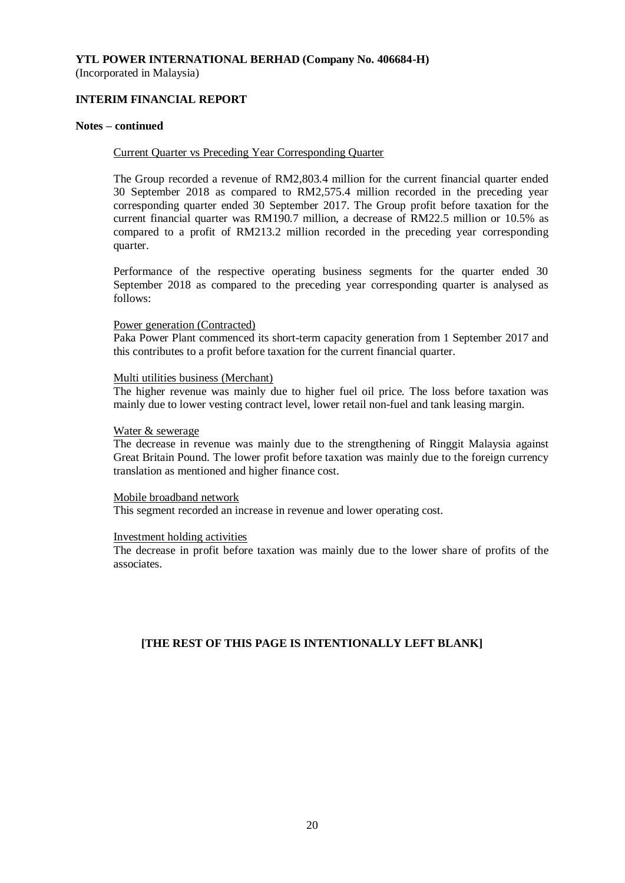## **INTERIM FINANCIAL REPORT**

#### **Notes – continued**

#### Current Quarter vs Preceding Year Corresponding Quarter

The Group recorded a revenue of RM2,803.4 million for the current financial quarter ended 30 September 2018 as compared to RM2,575.4 million recorded in the preceding year corresponding quarter ended 30 September 2017. The Group profit before taxation for the current financial quarter was RM190.7 million, a decrease of RM22.5 million or 10.5% as compared to a profit of RM213.2 million recorded in the preceding year corresponding quarter.

Performance of the respective operating business segments for the quarter ended 30 September 2018 as compared to the preceding year corresponding quarter is analysed as follows:

#### Power generation (Contracted)

Paka Power Plant commenced its short-term capacity generation from 1 September 2017 and this contributes to a profit before taxation for the current financial quarter.

#### Multi utilities business (Merchant)

The higher revenue was mainly due to higher fuel oil price. The loss before taxation was mainly due to lower vesting contract level, lower retail non-fuel and tank leasing margin.

#### Water & sewerage

The decrease in revenue was mainly due to the strengthening of Ringgit Malaysia against Great Britain Pound. The lower profit before taxation was mainly due to the foreign currency translation as mentioned and higher finance cost.

#### Mobile broadband network

This segment recorded an increase in revenue and lower operating cost.

#### Investment holding activities

The decrease in profit before taxation was mainly due to the lower share of profits of the associates.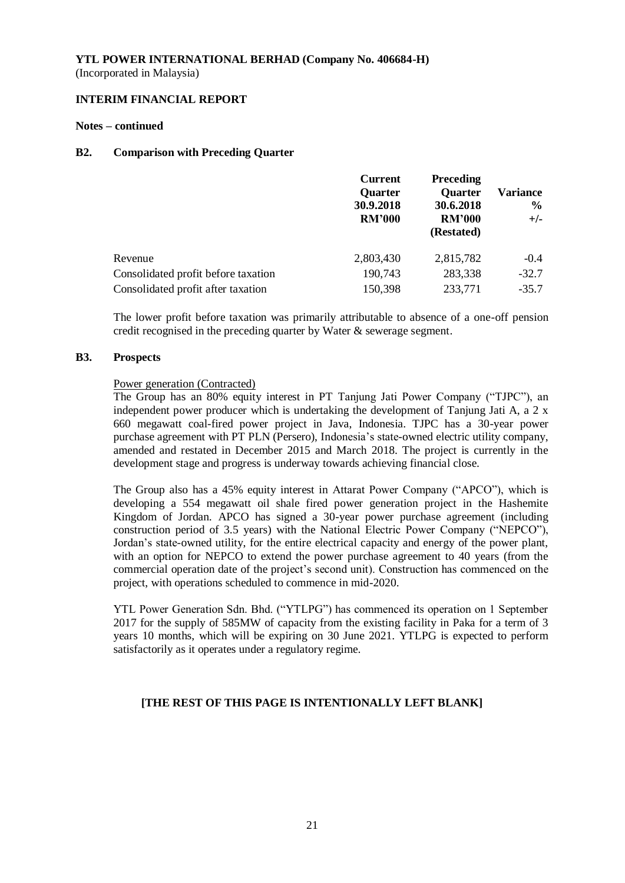#### **INTERIM FINANCIAL REPORT**

#### **Notes – continued**

#### **B2. Comparison with Preceding Quarter**

|                                     | <b>Current</b><br><b>Quarter</b><br>30.9.2018<br><b>RM'000</b> | Preceding<br><b>Quarter</b><br>30.6.2018<br><b>RM'000</b><br>(Restated) | Variance<br>$\frac{6}{9}$<br>$+/-$ |
|-------------------------------------|----------------------------------------------------------------|-------------------------------------------------------------------------|------------------------------------|
| Revenue                             | 2,803,430                                                      | 2,815,782                                                               | $-0.4$                             |
| Consolidated profit before taxation | 190,743                                                        | 283,338                                                                 | $-32.7$                            |
| Consolidated profit after taxation  | 150,398                                                        | 233,771                                                                 | $-35.7$                            |

The lower profit before taxation was primarily attributable to absence of a one-off pension credit recognised in the preceding quarter by Water & sewerage segment.

#### **B3. Prospects**

#### Power generation (Contracted)

The Group has an 80% equity interest in PT Tanjung Jati Power Company ("TJPC"), an independent power producer which is undertaking the development of Tanjung Jati A, a 2 x 660 megawatt coal-fired power project in Java, Indonesia. TJPC has a 30-year power purchase agreement with PT PLN (Persero), Indonesia's state-owned electric utility company, amended and restated in December 2015 and March 2018. The project is currently in the development stage and progress is underway towards achieving financial close.

The Group also has a 45% equity interest in Attarat Power Company ("APCO"), which is developing a 554 megawatt oil shale fired power generation project in the Hashemite Kingdom of Jordan. APCO has signed a 30-year power purchase agreement (including construction period of 3.5 years) with the National Electric Power Company ("NEPCO"), Jordan's state-owned utility, for the entire electrical capacity and energy of the power plant, with an option for NEPCO to extend the power purchase agreement to 40 years (from the commercial operation date of the project's second unit). Construction has commenced on the project, with operations scheduled to commence in mid-2020.

YTL Power Generation Sdn. Bhd. ("YTLPG") has commenced its operation on 1 September 2017 for the supply of 585MW of capacity from the existing facility in Paka for a term of 3 years 10 months, which will be expiring on 30 June 2021. YTLPG is expected to perform satisfactorily as it operates under a regulatory regime.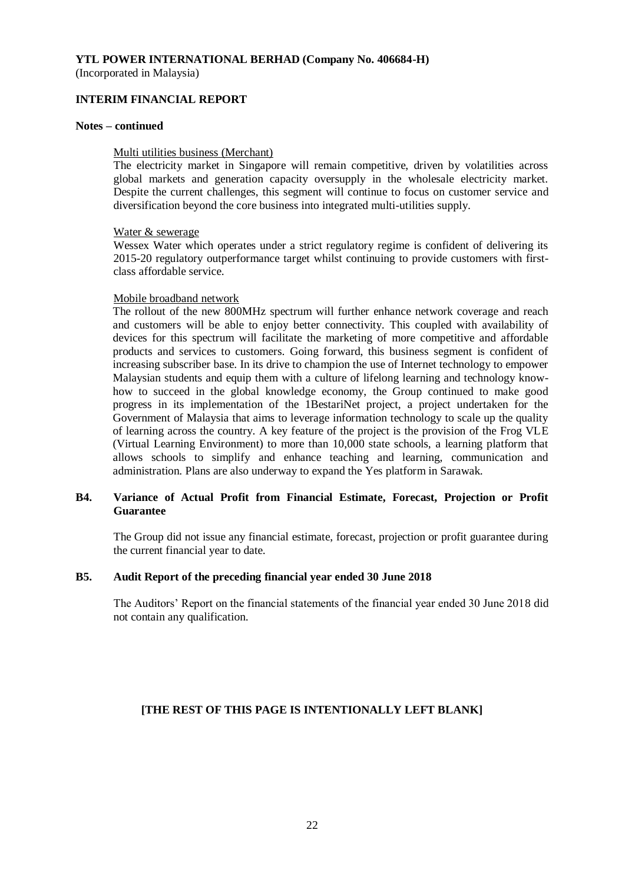(Incorporated in Malaysia)

#### **INTERIM FINANCIAL REPORT**

#### **Notes – continued**

#### Multi utilities business (Merchant)

The electricity market in Singapore will remain competitive, driven by volatilities across global markets and generation capacity oversupply in the wholesale electricity market. Despite the current challenges, this segment will continue to focus on customer service and diversification beyond the core business into integrated multi-utilities supply.

#### Water & sewerage

Wessex Water which operates under a strict regulatory regime is confident of delivering its 2015-20 regulatory outperformance target whilst continuing to provide customers with firstclass affordable service.

#### Mobile broadband network

The rollout of the new 800MHz spectrum will further enhance network coverage and reach and customers will be able to enjoy better connectivity. This coupled with availability of devices for this spectrum will facilitate the marketing of more competitive and affordable products and services to customers. Going forward, this business segment is confident of increasing subscriber base. In its drive to champion the use of Internet technology to empower Malaysian students and equip them with a culture of lifelong learning and technology knowhow to succeed in the global knowledge economy, the Group continued to make good progress in its implementation of the 1BestariNet project, a project undertaken for the Government of Malaysia that aims to leverage information technology to scale up the quality of learning across the country. A key feature of the project is the provision of the Frog VLE (Virtual Learning Environment) to more than 10,000 state schools, a learning platform that allows schools to simplify and enhance teaching and learning, communication and administration. Plans are also underway to expand the Yes platform in Sarawak.

#### **B4. Variance of Actual Profit from Financial Estimate, Forecast, Projection or Profit Guarantee**

The Group did not issue any financial estimate, forecast, projection or profit guarantee during the current financial year to date.

#### **B5. Audit Report of the preceding financial year ended 30 June 2018**

The Auditors' Report on the financial statements of the financial year ended 30 June 2018 did not contain any qualification.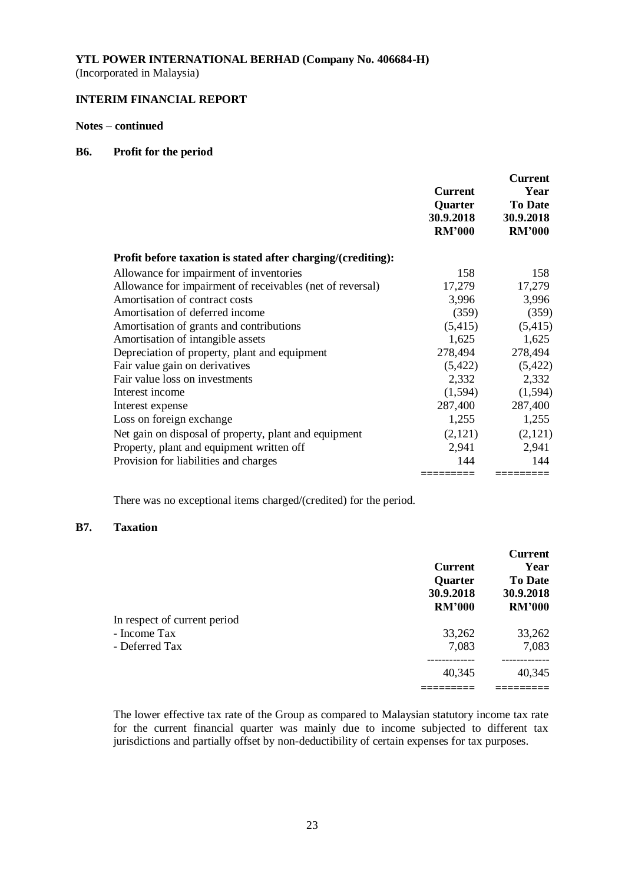(Incorporated in Malaysia)

## **INTERIM FINANCIAL REPORT**

#### **Notes – continued**

#### **B6. Profit for the period**

|                                                              | Current<br>Quarter<br>30.9.2018<br><b>RM'000</b> | <b>Current</b><br>Year<br><b>To Date</b><br>30.9.2018<br><b>RM'000</b> |
|--------------------------------------------------------------|--------------------------------------------------|------------------------------------------------------------------------|
| Profit before taxation is stated after charging/(crediting): |                                                  |                                                                        |
| Allowance for impairment of inventories                      | 158                                              | 158                                                                    |
| Allowance for impairment of receivables (net of reversal)    | 17,279                                           | 17,279                                                                 |
| Amortisation of contract costs                               | 3,996                                            | 3,996                                                                  |
| Amortisation of deferred income                              | (359)                                            | (359)                                                                  |
| Amortisation of grants and contributions                     | (5,415)                                          | (5,415)                                                                |
| Amortisation of intangible assets                            | 1,625                                            | 1,625                                                                  |
| Depreciation of property, plant and equipment                | 278,494                                          | 278,494                                                                |
| Fair value gain on derivatives                               | (5,422)                                          | (5,422)                                                                |
| Fair value loss on investments                               | 2,332                                            | 2,332                                                                  |
| Interest income                                              | (1,594)                                          | (1,594)                                                                |
| Interest expense                                             | 287,400                                          | 287,400                                                                |
| Loss on foreign exchange                                     | 1,255                                            | 1,255                                                                  |
| Net gain on disposal of property, plant and equipment        | (2,121)                                          | (2,121)                                                                |
| Property, plant and equipment written off                    | 2,941                                            | 2,941                                                                  |
| Provision for liabilities and charges                        | 144                                              | 144                                                                    |
|                                                              | =========                                        |                                                                        |

There was no exceptional items charged/(credited) for the period.

#### **B7. Taxation**

|                              | <b>Current</b><br><b>Quarter</b><br>30.9.2018<br><b>RM'000</b> | <b>Current</b><br>Year<br><b>To Date</b><br>30.9.2018<br><b>RM'000</b> |
|------------------------------|----------------------------------------------------------------|------------------------------------------------------------------------|
| In respect of current period |                                                                |                                                                        |
| - Income Tax                 | 33,262                                                         | 33,262                                                                 |
| - Deferred Tax               | 7,083                                                          | 7,083                                                                  |
|                              | 40,345                                                         | 40,345                                                                 |
|                              |                                                                |                                                                        |

The lower effective tax rate of the Group as compared to Malaysian statutory income tax rate for the current financial quarter was mainly due to income subjected to different tax jurisdictions and partially offset by non-deductibility of certain expenses for tax purposes.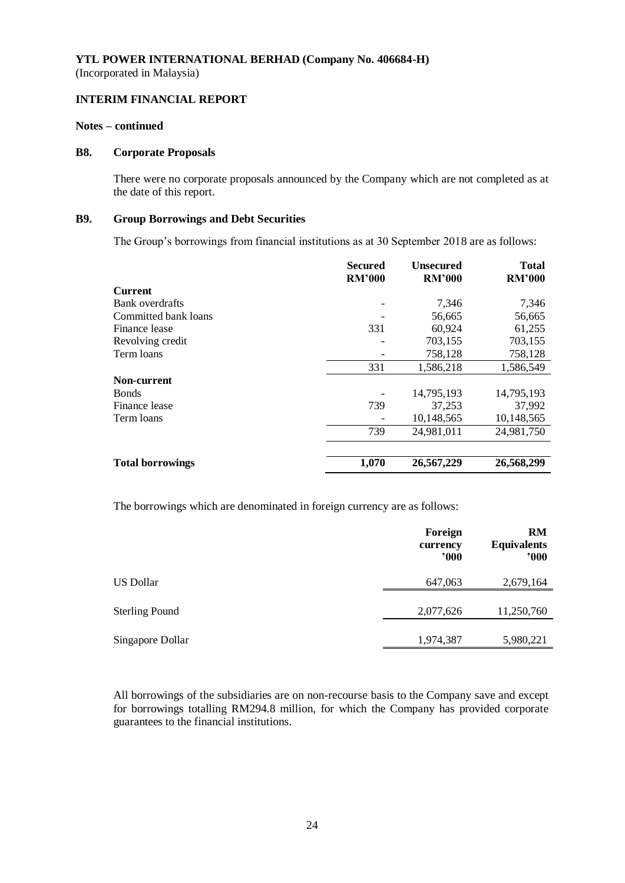#### **INTERIM FINANCIAL REPORT**

#### **Notes – continued**

#### **B8. Corporate Proposals**

There were no corporate proposals announced by the Company which are not completed as at the date of this report.

## **B9. Group Borrowings and Debt Securities**

The Group's borrowings from financial institutions as at 30 September 2018 are as follows:

|                         | Secured<br><b>RM'000</b> | Unsecured<br><b>RM'000</b> | <b>Total</b><br><b>RM'000</b> |
|-------------------------|--------------------------|----------------------------|-------------------------------|
| <b>Current</b>          |                          |                            |                               |
| Bank overdrafts         |                          | 7,346                      | 7,346                         |
| Committed bank loans    |                          | 56,665                     | 56,665                        |
| Finance lease           | 331                      | 60,924                     | 61,255                        |
| Revolving credit        |                          | 703,155                    | 703,155                       |
| Term loans              |                          | 758,128                    | 758,128                       |
|                         | 331                      | 1,586,218                  | 1,586,549                     |
| Non-current             |                          |                            |                               |
| <b>Bonds</b>            |                          | 14,795,193                 | 14,795,193                    |
| Finance lease           | 739                      | 37,253                     | 37,992                        |
| Term loans              |                          | 10,148,565                 | 10,148,565                    |
|                         | 739                      | 24,981,011                 | 24,981,750                    |
|                         |                          |                            |                               |
| <b>Total borrowings</b> | 1,070                    | 26,567,229                 | 26,568,299                    |

The borrowings which are denominated in foreign currency are as follows:

|                       | Foreign<br>currency<br>000 | RM<br><b>Equivalents</b><br>000 |
|-----------------------|----------------------------|---------------------------------|
| US Dollar             | 647,063                    | 2,679,164                       |
| <b>Sterling Pound</b> | 2,077,626                  | 11,250,760                      |
| Singapore Dollar      | 1,974,387                  | 5,980,221                       |

All borrowings of the subsidiaries are on non-recourse basis to the Company save and except for borrowings totalling RM294.8 million, for which the Company has provided corporate guarantees to the financial institutions.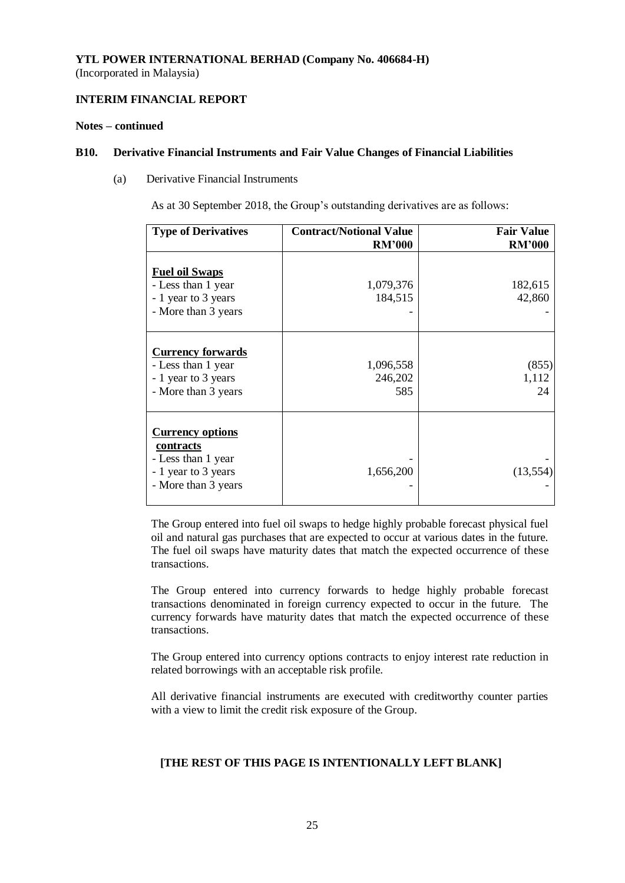## **INTERIM FINANCIAL REPORT**

#### **Notes – continued**

#### **B10. Derivative Financial Instruments and Fair Value Changes of Financial Liabilities**

(a) Derivative Financial Instruments

As at 30 September 2018, the Group's outstanding derivatives are as follows:

| <b>Type of Derivatives</b>                                                                               | <b>Contract/Notional Value</b> | <b>Fair Value</b>    |
|----------------------------------------------------------------------------------------------------------|--------------------------------|----------------------|
|                                                                                                          | <b>RM'000</b>                  | <b>RM'000</b>        |
| <b>Fuel oil Swaps</b><br>- Less than 1 year<br>- 1 year to 3 years<br>- More than 3 years                | 1,079,376<br>184,515           | 182,615<br>42,860    |
| <b>Currency forwards</b><br>- Less than 1 year<br>- 1 year to 3 years<br>- More than 3 years             | 1,096,558<br>246,202<br>585    | (855)<br>1,112<br>24 |
| <b>Currency options</b><br>contracts<br>- Less than 1 year<br>- 1 year to 3 years<br>- More than 3 years | 1,656,200                      | (13, 554)            |

The Group entered into fuel oil swaps to hedge highly probable forecast physical fuel oil and natural gas purchases that are expected to occur at various dates in the future. The fuel oil swaps have maturity dates that match the expected occurrence of these transactions.

The Group entered into currency forwards to hedge highly probable forecast transactions denominated in foreign currency expected to occur in the future. The currency forwards have maturity dates that match the expected occurrence of these transactions.

The Group entered into currency options contracts to enjoy interest rate reduction in related borrowings with an acceptable risk profile.

All derivative financial instruments are executed with creditworthy counter parties with a view to limit the credit risk exposure of the Group.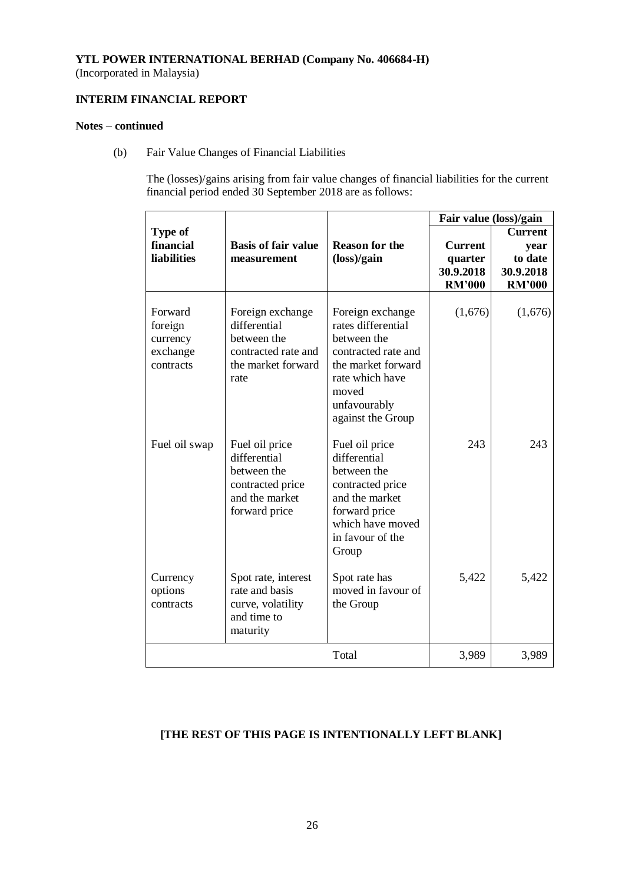(Incorporated in Malaysia)

## **INTERIM FINANCIAL REPORT**

## **Notes – continued**

(b) Fair Value Changes of Financial Liabilities

The (losses)/gains arising from fair value changes of financial liabilities for the current financial period ended 30 September 2018 are as follows:

|                                                         |                                                                                                      |                                                                                                                                                                     | Fair value (loss)/gain                                  |                                                                 |
|---------------------------------------------------------|------------------------------------------------------------------------------------------------------|---------------------------------------------------------------------------------------------------------------------------------------------------------------------|---------------------------------------------------------|-----------------------------------------------------------------|
| Type of<br>financial<br><b>liabilities</b>              | <b>Basis of fair value</b><br>measurement                                                            | <b>Reason for the</b><br>$(\text{loss})/\text{gain}$                                                                                                                | <b>Current</b><br>quarter<br>30.9.2018<br><b>RM'000</b> | <b>Current</b><br>year<br>to date<br>30.9.2018<br><b>RM'000</b> |
| Forward<br>foreign<br>currency<br>exchange<br>contracts | Foreign exchange<br>differential<br>between the<br>contracted rate and<br>the market forward<br>rate | Foreign exchange<br>rates differential<br>between the<br>contracted rate and<br>the market forward<br>rate which have<br>moved<br>unfavourably<br>against the Group | (1,676)                                                 | (1,676)                                                         |
| Fuel oil swap                                           | Fuel oil price<br>differential<br>between the<br>contracted price<br>and the market<br>forward price | Fuel oil price<br>differential<br>between the<br>contracted price<br>and the market<br>forward price<br>which have moved<br>in favour of the<br>Group               | 243                                                     | 243                                                             |
| Currency<br>options<br>contracts                        | Spot rate, interest<br>rate and basis<br>curve, volatility<br>and time to<br>maturity                | Spot rate has<br>moved in favour of<br>the Group                                                                                                                    | 5,422                                                   | 5,422                                                           |
|                                                         |                                                                                                      | Total                                                                                                                                                               | 3,989                                                   | 3,989                                                           |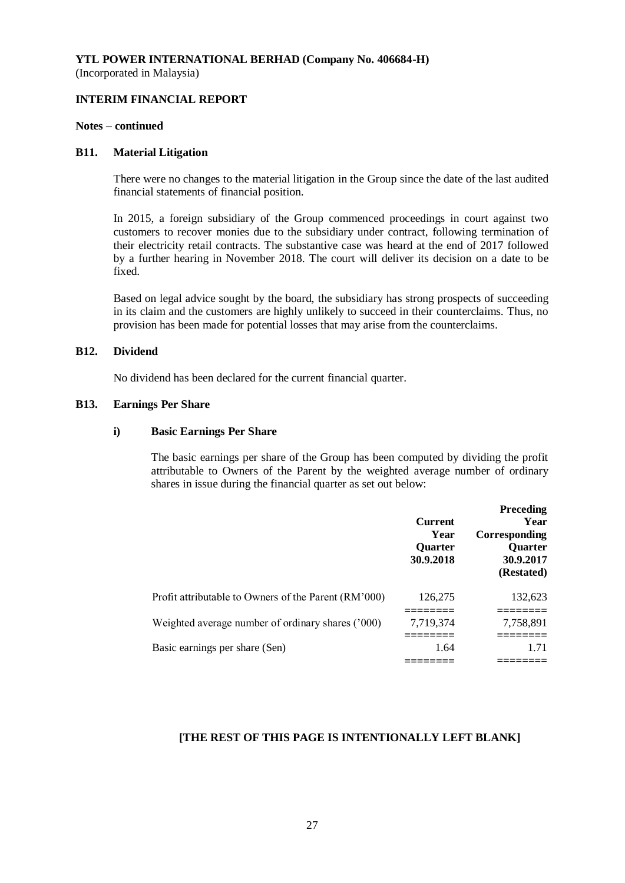## **INTERIM FINANCIAL REPORT**

#### **Notes – continued**

#### **B11. Material Litigation**

There were no changes to the material litigation in the Group since the date of the last audited financial statements of financial position.

In 2015, a foreign subsidiary of the Group commenced proceedings in court against two customers to recover monies due to the subsidiary under contract, following termination of their electricity retail contracts. The substantive case was heard at the end of 2017 followed by a further hearing in November 2018. The court will deliver its decision on a date to be fixed.

Based on legal advice sought by the board, the subsidiary has strong prospects of succeeding in its claim and the customers are highly unlikely to succeed in their counterclaims. Thus, no provision has been made for potential losses that may arise from the counterclaims.

#### **B12. Dividend**

No dividend has been declared for the current financial quarter.

#### **B13. Earnings Per Share**

#### **i) Basic Earnings Per Share**

The basic earnings per share of the Group has been computed by dividing the profit attributable to Owners of the Parent by the weighted average number of ordinary shares in issue during the financial quarter as set out below:

|                                                      | <b>Current</b><br>Year<br><b>Quarter</b><br>30.9.2018 | <b>Preceding</b><br>Year<br>Corresponding<br><b>Ouarter</b><br>30.9.2017<br>(Restated) |
|------------------------------------------------------|-------------------------------------------------------|----------------------------------------------------------------------------------------|
| Profit attributable to Owners of the Parent (RM'000) | 126,275                                               | 132,623                                                                                |
| Weighted average number of ordinary shares ('000)    | 7,719,374                                             | 7,758,891                                                                              |
|                                                      |                                                       |                                                                                        |
| Basic earnings per share (Sen)                       | 1.64                                                  | 1.71                                                                                   |
|                                                      |                                                       |                                                                                        |